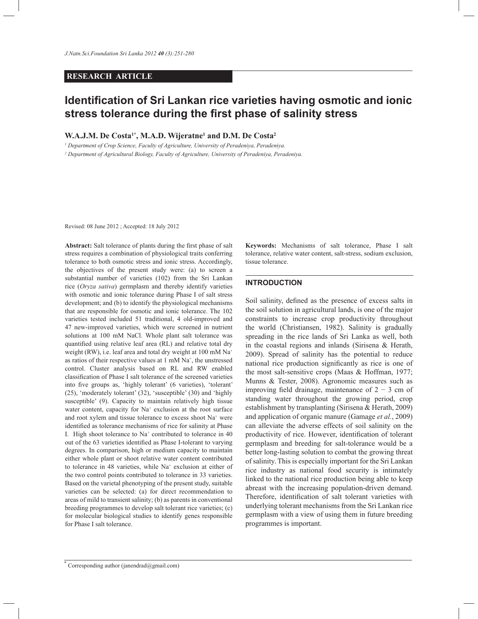### **RESEARCH ARTICLE**

# **Identification of Sri Lankan rice varieties having osmotic and ionic stress tolerance during the first phase of salinity stress**

### **W.A.J.M. De Costa1\*, M.A.D. Wijeratne<sup>1</sup> and D.M. De Costa<sup>2</sup>**

*1 Department of Crop Science, Faculty of Agriculture, University of Peradeniya, Peradeniya.*

*2 Department of Agricultural Biology, Faculty of Agriculture, University of Peradeniya, Peradeniya.*

Revised: 08 June 2012 ; Accepted: 18 July 2012

**Abstract:** Salt tolerance of plants during the first phase of salt stress requires a combination of physiological traits conferring tolerance to both osmotic stress and ionic stress. Accordingly, the objectives of the present study were: (a) to screen a substantial number of varieties (102) from the Sri Lankan rice (*Oryza sativa*) germplasm and thereby identify varieties with osmotic and ionic tolerance during Phase I of salt stress development; and (b) to identify the physiological mechanisms that are responsible for osmotic and ionic tolerance. The 102 varieties tested included 51 traditional, 4 old-improved and 47 new-improved varieties, which were screened in nutrient solutions at 100 mM NaCl. Whole plant salt tolerance was quantified using relative leaf area (RL) and relative total dry weight (RW), i.e. leaf area and total dry weight at 100 mM Na<sup>+</sup> as ratios of their respective values at 1 mM Na<sup>+</sup>, the unstressed control. Cluster analysis based on RL and RW enabled classification of Phase I salt tolerance of the screened varieties into five groups as, 'highly tolerant' (6 varieties), 'tolerant' (25), 'moderately tolerant' (32), 'susceptible' (30) and 'highly susceptible' (9). Capacity to maintain relatively high tissue water content, capacity for Na<sup>+</sup> exclusion at the root surface and root xylem and tissue tolerance to excess shoot Na<sup>+</sup> were identified as tolerance mechanisms of rice for salinity at Phase I. High shoot tolerance to Na<sup>+</sup> contributed to tolerance in 40 out of the 63 varieties identified as Phase I-tolerant to varying degrees. In comparison, high or medium capacity to maintain either whole plant or shoot relative water content contributed to tolerance in 48 varieties, while Na<sup>+</sup> exclusion at either of the two control points contributed to tolerance in 33 varieties. Based on the varietal phenotyping of the present study, suitable varieties can be selected: (a) for direct recommendation to areas of mild to transient salinity; (b) as parents in conventional breeding programmes to develop salt tolerant rice varieties; (c) for molecular biological studies to identify genes responsible for Phase I salt tolerance.

**Keywords:** Mechanisms of salt tolerance, Phase I salt tolerance, relative water content, salt-stress, sodium exclusion, tissue tolerance.

# **INTRODUCTION**

Soil salinity, defined as the presence of excess salts in the soil solution in agricultural lands, is one of the major constraints to increase crop productivity throughout the world (Christiansen, 1982). Salinity is gradually spreading in the rice lands of Sri Lanka as well, both in the coastal regions and inlands (Sirisena & Herath, 2009). Spread of salinity has the potential to reduce national rice production significantly as rice is one of the most salt-sensitive crops (Maas & Hoffman, 1977; Munns & Tester, 2008). Agronomic measures such as improving field drainage, maintenance of  $2 - 3$  cm of standing water throughout the growing period, crop establishment by transplanting (Sirisena & Herath, 2009) and application of organic manure (Gamage *et al.*, 2009) can alleviate the adverse effects of soil salinity on the productivity of rice. However, identification of tolerant germplasm and breeding for salt-tolerance would be a better long-lasting solution to combat the growing threat of salinity. This is especially important for the Sri Lankan rice industry as national food security is intimately linked to the national rice production being able to keep abreast with the increasing population-driven demand. Therefore, identification of salt tolerant varieties with underlying tolerant mechanisms from the Sri Lankan rice germplasm with a view of using them in future breeding programmes is important.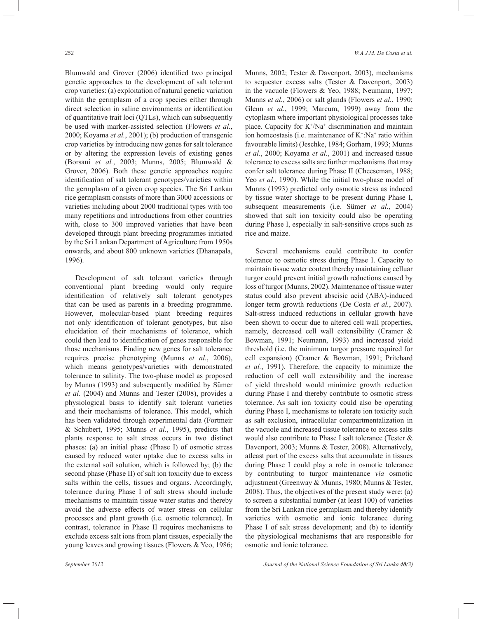Blumwald and Grover (2006) identified two principal genetic approaches to the development of salt tolerant crop varieties: (a) exploitation of natural genetic variation within the germplasm of a crop species either through direct selection in saline environments or identification of quantitative trait loci (QTLs), which can subsequently be used with marker-assisted selection (Flowers *et al.*, 2000; Koyama *et al.*, 2001); (b) production of transgenic crop varieties by introducing new genes for salt tolerance or by altering the expression levels of existing genes (Borsani *et al.*, 2003; Munns, 2005; Blumwald & Grover, 2006). Both these genetic approaches require identification of salt tolerant genotypes/varieties within the germplasm of a given crop species. The Sri Lankan rice germplasm consists of more than 3000 accessions or varieties including about 2000 traditional types with too many repetitions and introductions from other countries with, close to 300 improved varieties that have been developed through plant breeding programmes initiated by the Sri Lankan Department of Agriculture from 1950s onwards, and about 800 unknown varieties (Dhanapala, 1996).

 Development of salt tolerant varieties through conventional plant breeding would only require identification of relatively salt tolerant genotypes that can be used as parents in a breeding programme. However, molecular-based plant breeding requires not only identification of tolerant genotypes, but also elucidation of their mechanisms of tolerance, which could then lead to identification of genes responsible for those mechanisms. Finding new genes for salt tolerance requires precise phenotyping (Munns *et al.*, 2006), which means genotypes/varieties with demonstrated tolerance to salinity. The two-phase model as proposed by Munns (1993) and subsequently modified by Sümer *et al.* (2004) and Munns and Tester (2008), provides a physiological basis to identify salt tolerant varieties and their mechanisms of tolerance. This model, which has been validated through experimental data (Fortmeir & Schubert, 1995; Munns *et al.*, 1995), predicts that plants response to salt stress occurs in two distinct phases: (a) an initial phase (Phase I) of osmotic stress caused by reduced water uptake due to excess salts in the external soil solution, which is followed by; (b) the second phase (Phase II) of salt ion toxicity due to excess salts within the cells, tissues and organs. Accordingly, tolerance during Phase I of salt stress should include mechanisms to maintain tissue water status and thereby avoid the adverse effects of water stress on cellular processes and plant growth (i.e. osmotic tolerance). In contrast, tolerance in Phase II requires mechanisms to exclude excess salt ions from plant tissues, especially the young leaves and growing tissues (Flowers & Yeo, 1986;

Munns, 2002; Tester & Davenport, 2003), mechanisms to sequester excess salts (Tester & Davenport, 2003) in the vacuole (Flowers & Yeo, 1988; Neumann, 1997; Munns *et al.*, 2006) or salt glands (Flowers *et al.*, 1990; Glenn *et al.*, 1999; Marcum, 1999) away from the cytoplasm where important physiological processes take place. Capacity for  $K^{\dagger}/Na^{\dagger}$  discrimination and maintain ion homeostasis (i.e. maintenance of  $K^+$ :Na<sup>+</sup> ratio within favourable limits) (Jeschke, 1984; Gorham, 1993; Munns *et al.*, 2000; Koyama *et al.*, 2001) and increased tissue tolerance to excess salts are further mechanisms that may confer salt tolerance during Phase II (Cheeseman, 1988; Yeo *et al.*, 1990). While the initial two-phase model of Munns (1993) predicted only osmotic stress as induced by tissue water shortage to be present during Phase I, subsequent measurements (i.e. Sümer *et al.*, 2004) showed that salt ion toxicity could also be operating during Phase I, especially in salt-sensitive crops such as rice and maize.

 Several mechanisms could contribute to confer tolerance to osmotic stress during Phase I. Capacity to maintain tissue water content thereby maintaining celluar turgor could prevent initial growth reductions caused by loss of turgor (Munns, 2002). Maintenance of tissue water status could also prevent abscisic acid (ABA)-induced longer term growth reductions (De Costa *et al.*, 2007). Salt-stress induced reductions in cellular growth have been shown to occur due to altered cell wall properties, namely, decreased cell wall extensibility (Cramer & Bowman, 1991; Neumann, 1993) and increased yield threshold (i.e. the minimum turgor pressure required for cell expansion) (Cramer & Bowman, 1991; Pritchard *et al.*, 1991). Therefore, the capacity to minimize the reduction of cell wall extensibility and the increase of yield threshold would minimize growth reduction during Phase I and thereby contribute to osmotic stress tolerance. As salt ion toxicity could also be operating during Phase I, mechanisms to tolerate ion toxicity such as salt exclusion, intracellular compartmentalization in the vacuole and increased tissue tolerance to excess salts would also contribute to Phase I salt tolerance (Tester & Davenport, 2003; Munns & Tester, 2008). Alternatively, atleast part of the excess salts that accumulate in tissues during Phase I could play a role in osmotic tolerance by contributing to turgor maintenance *via* osmotic adjustment (Greenway & Munns, 1980; Munns & Tester, 2008). Thus, the objectives of the present study were: (a) to screen a substantial number (at least 100) of varieties from the Sri Lankan rice germplasm and thereby identify varieties with osmotic and ionic tolerance during Phase I of salt stress development; and (b) to identify the physiological mechanisms that are responsible for osmotic and ionic tolerance.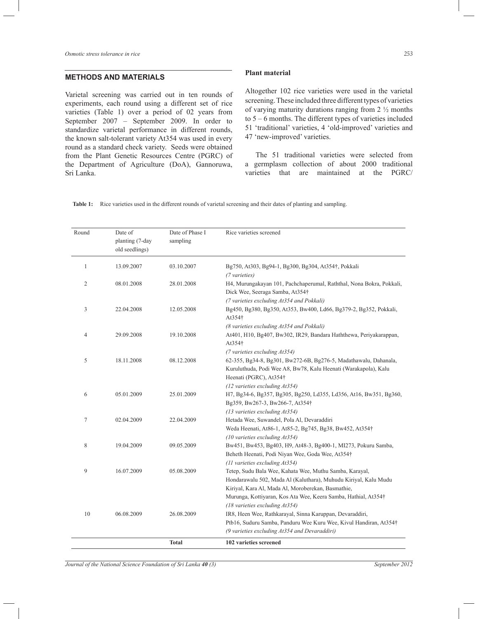### **METHODS AND MATERIALS**

Varietal screening was carried out in ten rounds of experiments, each round using a different set of rice varieties (Table 1) over a period of 02 years from September 2007 – September 2009. In order to standardize varietal performance in different rounds, the known salt-tolerant variety At354 was used in every round as a standard check variety. Seeds were obtained from the Plant Genetic Resources Centre (PGRC) of the Department of Agriculture (DoA), Gannoruwa, Sri Lanka.

#### **Plant material**

Altogether 102 rice varieties were used in the varietal screening. These included three different types of varieties of varying maturity durations ranging from  $2\frac{1}{2}$  months to 5 – 6 months. The different types of varieties included 51 'traditional' varieties, 4 'old-improved' varieties and 47 'new-improved' varieties.

 The 51 traditional varieties were selected from a germplasm collection of about 2000 traditional varieties that are maintained at the PGRC/

**Table 1:** Rice varieties used in the different rounds of varietal screening and their dates of planting and sampling.

| Round | Date of<br>planting (7-day<br>old seedlings) | Date of Phase I<br>sampling | Rice varieties screened                                                                                                                                                                                                                                                                                                                  |
|-------|----------------------------------------------|-----------------------------|------------------------------------------------------------------------------------------------------------------------------------------------------------------------------------------------------------------------------------------------------------------------------------------------------------------------------------------|
| 1     | 13.09.2007                                   | 03.10.2007                  | Bg750, At303, Bg94-1, Bg300, Bg304, At354†, Pokkali<br>(7 varieties)                                                                                                                                                                                                                                                                     |
| 2     | 08.01.2008                                   | 28.01.2008                  | H4, Murungakayan 101, Pachchaperumal, Raththal, Nona Bokra, Pokkali,<br>Dick Wee, Seeraga Samba, At354†                                                                                                                                                                                                                                  |
| 3     | 22.04.2008                                   | 12.05.2008                  | (7 varieties excluding At354 and Pokkali)<br>Bg450, Bg380, Bg350, At353, Bw400, Ld66, Bg379-2, Bg352, Pokkali,<br>At354†                                                                                                                                                                                                                 |
| 4     | 29.09.2008                                   | 19.10.2008                  | (8 varieties excluding At354 and Pokkali)<br>At401, H10, Bg407, Bw302, IR29, Bandara Haththewa, Periyakarappan,<br>At354†                                                                                                                                                                                                                |
| 5     | 18.11.2008                                   | 08.12.2008                  | (7 varieties excluding At354)<br>62-355, Bg34-8, Bg301, Bw272-6B, Bg276-5, Madathawalu, Dahanala,<br>Kuruluthuda, Podi Wee A8, Bw78, Kalu Heenati (Warakapola), Kalu                                                                                                                                                                     |
| 6     | 05.01.2009                                   | 25.01.2009                  | Heenati (PGRC), At354†<br>$(12 \text{ varieties excluding } At354)$<br>H7, Bg34-6, Bg357, Bg305, Bg250, Ld355, Ld356, At16, Bw351, Bg360,<br>Bg359, Bw267-3, Bw266-7, At354†                                                                                                                                                             |
| 7     | 02.04.2009                                   | 22.04.2009                  | (13 varieties excluding At354)<br>Hetada Wee, Suwandel, Pola Al, Devaraddiri<br>Weda Heenati, At86-1, At85-2, Bg745, Bg38, Bw452, At354†                                                                                                                                                                                                 |
| 8     | 19.04.2009                                   | 09.05.2009                  | $(10 \text{ varieties excluding At} 354)$<br>Bw451, Bw453, Bg403, H9, At48-3, Bg400-1, MI273, Pokuru Samba,<br>Beheth Heenati, Podi Niyan Wee, Goda Wee, At354†                                                                                                                                                                          |
| 9     | 16.07.2009                                   | 05.08.2009                  | (11 varieties excluding At354)<br>Tetep, Sudu Bala Wee, Kahata Wee, Muthu Samba, Karayal,<br>Hondarawalu 502, Mada Al (Kaluthara), Muhudu Kiriyal, Kalu Mudu                                                                                                                                                                             |
| 10    | 06.08.2009                                   | 26.08.2009                  | Kiriyal, Kara Al, Mada Al, Moroberekan, Basmathie,<br>Murunga, Kottiyaran, Kos Ata Wee, Keera Samba, Hathial, At354†<br>(18 varieties excluding At354)<br>IR8, Heen Wee, Rathkarayal, Sinna Karuppan, Devaraddiri,<br>Ptb16, Suduru Samba, Panduru Wee Kuru Wee, Kivul Handiran, At354†<br>(9 varieties excluding At354 and Devaraddiri) |
|       |                                              | <b>Total</b>                | 102 varieties screened                                                                                                                                                                                                                                                                                                                   |

*Journal of the National Science Foundation of Sri Lanka 40 (3)* September 2012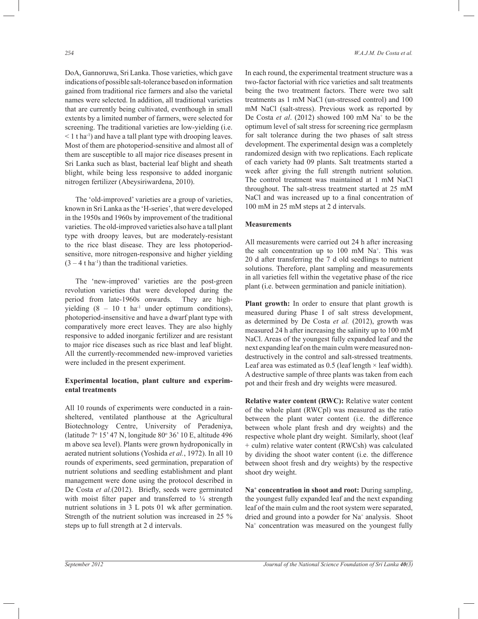DoA, Gannoruwa, Sri Lanka. Those varieties, which gave indications of possible salt-tolerance based on information gained from traditional rice farmers and also the varietal names were selected. In addition, all traditional varieties that are currently being cultivated, eventhough in small extents by a limited number of farmers, were selected for screening. The traditional varieties are low-yielding (i.e.  $<$  1 t ha<sup>-1</sup>) and have a tall plant type with drooping leaves. Most of them are photoperiod-sensitive and almost all of them are susceptible to all major rice diseases present in Sri Lanka such as blast, bacterial leaf blight and sheath blight, while being less responsive to added inorganic nitrogen fertilizer (Abeysiriwardena, 2010).

 The 'old-improved' varieties are a group of varieties, known in Sri Lanka as the 'H-series', that were developed in the 1950s and 1960s by improvement of the traditional varieties. The old-improved varieties also have a tall plant type with droopy leaves, but are moderately-resistant to the rice blast disease. They are less photoperiodsensitive, more nitrogen-responsive and higher yielding  $(3 - 4$  t ha<sup>-1</sup>) than the traditional varieties.

 The 'new-improved' varieties are the post-green revolution varieties that were developed during the period from late-1960s onwards. They are highyielding  $(8 - 10 \text{ t} \text{ ha}^{-1} \text{ under optimum conditions}),$ photoperiod-insensitive and have a dwarf plant type with comparatively more erect leaves. They are also highly responsive to added inorganic fertilizer and are resistant to major rice diseases such as rice blast and leaf blight. All the currently-recommended new-improved varieties were included in the present experiment.

### **Experimental location, plant culture and experimental treatments**

All 10 rounds of experiments were conducted in a rainsheltered, ventilated planthouse at the Agricultural Biotechnology Centre, University of Peradeniya, (latitude 7º 15' 47 N, longitude 80º 36' 10 E, altitude 496 m above sea level). Plants were grown hydroponically in aerated nutrient solutions (Yoshida *et al.*, 1972). In all 10 rounds of experiments, seed germination, preparation of nutrient solutions and seedling establishment and plant management were done using the protocol described in De Costa *et al.*(2012). Briefly, seeds were germinated with moist filter paper and transferred to  $\frac{1}{4}$  strength nutrient solutions in 3 L pots 01 wk after germination. Strength of the nutrient solution was increased in 25 % steps up to full strength at 2 d intervals.

In each round, the experimental treatment structure was a two-factor factorial with rice varieties and salt treatments being the two treatment factors. There were two salt treatments as 1 mM NaCl (un-stressed control) and 100 mM NaCl (salt-stress). Previous work as reported by De Costa *et al.* (2012) showed 100 mM Na<sup>+</sup> to be the optimum level of salt stress for screening rice germplasm for salt tolerance during the two phases of salt stress development. The experimental design was a completely randomized design with two replications. Each replicate of each variety had 09 plants. Salt treatments started a week after giving the full strength nutrient solution. The control treatment was maintained at 1 mM NaCl throughout. The salt-stress treatment started at 25 mM NaCl and was increased up to a final concentration of 100 mM in 25 mM steps at 2 d intervals.

#### **Measurements**

All measurements were carried out 24 h after increasing the salt concentration up to  $100$  mM Na<sup>+</sup>. This was 20 d after transferring the 7 d old seedlings to nutrient solutions. Therefore, plant sampling and measurements in all varieties fell within the vegetative phase of the rice plant (i.e. between germination and panicle initiation).

**Plant growth:** In order to ensure that plant growth is measured during Phase I of salt stress development, as determined by De Costa *et al.* (2012), growth was measured 24 h after increasing the salinity up to 100 mM NaCl. Areas of the youngest fully expanded leaf and the next expanding leaf on the main culm were measured nondestructively in the control and salt-stressed treatments. Leaf area was estimated as  $0.5$  (leaf length  $\times$  leaf width). A destructive sample of three plants was taken from each pot and their fresh and dry weights were measured.

**Relative water content (RWC):** Relative water content of the whole plant (RWCpl) was measured as the ratio between the plant water content (i.e. the difference between whole plant fresh and dry weights) and the respective whole plant dry weight. Similarly, shoot (leaf + culm) relative water content (RWCsh) was calculated by dividing the shoot water content (i.e. the difference between shoot fresh and dry weights) by the respective shoot dry weight.

**Na<sup>+</sup> concentration in shoot and root:** During sampling, the youngest fully expanded leaf and the next expanding leaf of the main culm and the root system were separated, dried and ground into a powder for Na<sup>+</sup> analysis. Shoot Na<sup>+</sup> concentration was measured on the youngest fully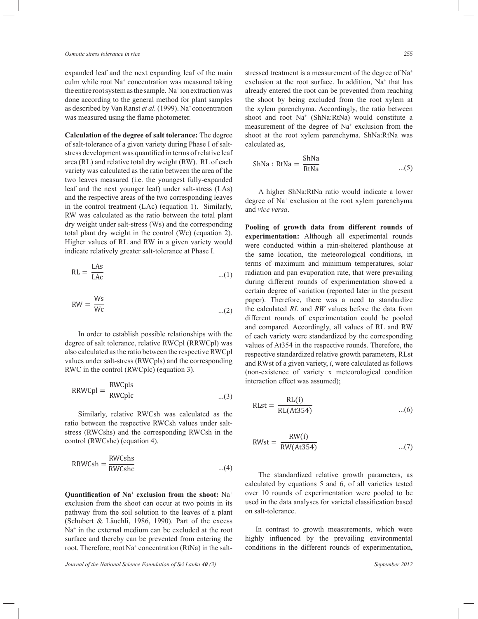expanded leaf and the next expanding leaf of the main culm while root Na<sup>+</sup> concentration was measured taking the entire root system as the sample. Na<sup>+</sup> ion extraction was done according to the general method for plant samples as described by Van Ranst *et al.* (1999). Na<sup>+</sup> concentration was measured using the flame photometer.

**Calculation of the degree of salt tolerance:** The degree of salt-tolerance of a given variety during Phase I of saltstress development was quantified in terms of relative leaf area (RL) and relative total dry weight (RW). RL of each variety was calculated as the ratio between the area of the two leaves measured (i.e. the youngest fully-expanded leaf and the next younger leaf) under salt-stress (LAs) and the respective areas of the two corresponding leaves in the control treatment (LAc) (equation 1). Similarly, RW was calculated as the ratio between the total plant dry weight under salt-stress (Ws) and the corresponding total plant dry weight in the control (Wc) (equation 2). Higher values of RL and RW in a given variety would indicate relatively greater salt-tolerance at Phase I.

$$
RL = \frac{LAS}{LAC}
$$
...(1)

$$
RW = \frac{Ws}{Wc} \tag{2}
$$

In order to establish possible relationships with the degree of salt tolerance, relative RWCpl (RRWCpl) was also calculated as the ratio between the respective RWCpl values under salt-stress (RWCpls) and the corresponding RWC in the control (RWCplc) (equation 3).

$$
RRWCpl = \frac{RWCpls}{RWCplc} \qquad \qquad \dots (3)
$$

Similarly, relative RWCsh was calculated as the ratio between the respective RWCsh values under saltstress (RWCshs) and the corresponding RWCsh in the control (RWCshc) (equation 4).

$$
RRWCsh = \frac{RWCshs}{RWCshc} \qquad ...(4)
$$

 **Quantification of Na<sup>+</sup> exclusion from the shoot:** Na<sup>+</sup> exclusion from the shoot can occur at two points in its pathway from the soil solution to the leaves of a plant (Schubert & Läuchli, 1986, 1990). Part of the excess Na<sup>+</sup> in the external medium can be excluded at the root surface and thereby can be prevented from entering the root. Therefore, root Na<sup>+</sup> concentration (RtNa) in the saltstressed treatment is a measurement of the degree of Na<sup>+</sup> exclusion at the root surface. In addition,  $Na<sup>+</sup>$  that has already entered the root can be prevented from reaching the shoot by being excluded from the root xylem at the xylem parenchyma. Accordingly, the ratio between shoot and root Na<sup>+</sup> (ShNa:RtNa) would constitute a measurement of the degree of Na<sup>+</sup> exclusion from the shoot at the root xylem parenchyma. ShNa:RtNa was  calculated as,

$$
ShNa: RtNa = \frac{ShNa}{RtNa} \qquad \qquad \dots (5)
$$

- A higher ShNa:RtNa ratio would indicate a lower degree of Na<sup>+</sup> exclusion at the root xylem parenchyma and *vice versa*.

**Pooling of growth data from different rounds of experimentation:** Although all experimental rounds were conducted within a rain-sheltered planthouse at the same location, the meteorological conditions, in terms of maximum and minimum temperatures, solar radiation and pan evaporation rate, that were prevailing during different rounds of experimentation showed a certain degree of variation (reported later in the present paper). Therefore, there was a need to standardize the calculated *RL* and *RW* values before the data from different rounds of experimentation could be pooled and compared. Accordingly, all values of RL and RW of each variety were standardized by the corresponding values of At354 in the respective rounds. Therefore, the respective standardized relative growth parameters, RLst and RWst of a given variety, *i*, were calculated as follows (non-existence of variety x meteorological condition interaction effect was assumed);

$$
RLst = \frac{RL(i)}{RL(At354)} \qquad ...(6)
$$

$$
RWst = \frac{RW(i)}{RW(At354)} \qquad ...(7)
$$

The standardized relative growth parameters, as calculated by equations 5 and 6, of all varieties tested over 10 rounds of experimentation were pooled to be used in the data analyses for varietal classification based on salt-tolerance.

 In contrast to growth measurements, which were highly influenced by the prevailing environmental conditions in the different rounds of experimentation,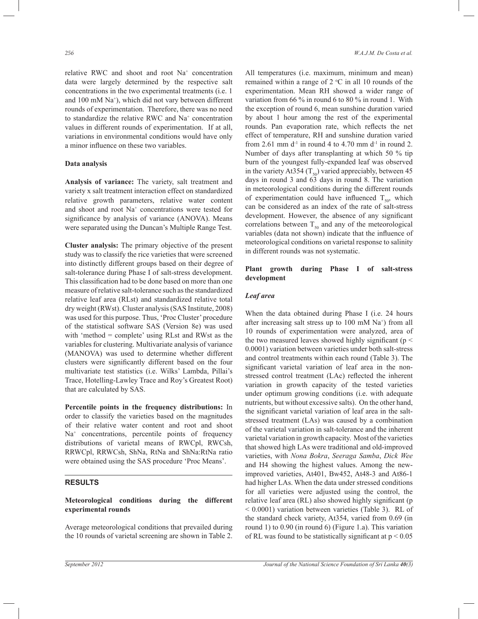relative RWC and shoot and root Na<sup>+</sup> concentration data were largely determined by the respective salt concentrations in the two experimental treatments (i.e. 1 and 100 mM Na<sup>+</sup> ), which did not vary between different rounds of experimentation. Therefore, there was no need to standardize the relative RWC and Na<sup>+</sup> concentration values in different rounds of experimentation. If at all, variations in environmental conditions would have only a minor influence on these two variables.

#### **Data analysis**

**Analysis of variance:** The variety, salt treatment and variety x salt treatment interaction effect on standardized relative growth parameters, relative water content and shoot and root Na<sup>+</sup> concentrations were tested for significance by analysis of variance (ANOVA). Means were separated using the Duncan's Multiple Range Test.

**Cluster analysis:** The primary objective of the present study was to classify the rice varieties that were screened into distinctly different groups based on their degree of salt-tolerance during Phase I of salt-stress development. This classification had to be done based on more than one measure of relative salt-tolerance such as the standardized relative leaf area (RLst) and standardized relative total dry weight (RWst). Cluster analysis (SAS Institute, 2008) was used for this purpose. Thus, 'Proc Cluster' procedure of the statistical software SAS (Version 8e) was used with 'method = complete' using RLst and RWst as the variables for clustering. Multivariate analysis of variance (MANOVA) was used to determine whether different clusters were significantly different based on the four multivariate test statistics (i.e. Wilks' Lambda, Pillai's Trace, Hotelling-Lawley Trace and Roy's Greatest Root) that are calculated by SAS.

**Percentile points in the frequency distributions:** In order to classify the varieties based on the magnitudes of their relative water content and root and shoot Na<sup>+</sup> concentrations, percentile points of frequency distributions of varietal means of RWCpl, RWCsh, RRWCpl, RRWCsh, ShNa, RtNa and ShNa:RtNa ratio were obtained using the SAS procedure 'Proc Means'.

### **RESULTS**

### **Meteorological conditions during the different experimental rounds**

Average meteorological conditions that prevailed during the 10 rounds of varietal screening are shown in Table 2. All temperatures (i.e. maximum, minimum and mean) remained within a range of  $2 \text{ °C}$  in all 10 rounds of the experimentation. Mean RH showed a wider range of variation from 66 % in round 6 to 80 % in round 1. With the exception of round 6, mean sunshine duration varied by about 1 hour among the rest of the experimental rounds. Pan evaporation rate, which reflects the net effect of temperature, RH and sunshine duration varied from 2.61 mm  $d<sup>-1</sup>$  in round 4 to 4.70 mm  $d<sup>-1</sup>$  in round 2. Number of days after transplanting at which 50 % tip burn of the youngest fully-expanded leaf was observed in the variety At354 ( $T_{50}$ ) varied appreciably, between 45 days in round 3 and 63 days in round 8. The variation in meteorological conditions during the different rounds of experimentation could have influenced  $T_{50}$ , which can be considered as an index of the rate of salt-stress development. However, the absence of any significant correlations between  $T_{50}$  and any of the meteorological variables (data not shown) indicate that the influence of meteorological conditions on varietal response to salinity in different rounds was not systematic.

#### **Plant growth during Phase I of salt-stress development**

### *Leaf area*

When the data obtained during Phase I (i.e. 24 hours after increasing salt stress up to 100 mM Na<sup>+</sup>) from all 10 rounds of experimentation were analyzed, area of the two measured leaves showed highly significant ( $p <$ 0.0001) variation between varieties under both salt-stress and control treatments within each round (Table 3). The significant varietal variation of leaf area in the nonstressed control treatment (LAc) reflected the inherent variation in growth capacity of the tested varieties under optimum growing conditions (i.e. with adequate nutrients, but without excessive salts). On the other hand, the significant varietal variation of leaf area in the saltstressed treatment (LAs) was caused by a combination of the varietal variation in salt-tolerance and the inherent varietal variation in growth capacity. Most of the varieties that showed high LAs were traditional and old-improved varieties, with *Nona Bokra*, *Seeraga Samba*, *Dick Wee*  and H4 showing the highest values. Among the newimproved varieties, At401, Bw452, At48-3 and At86-1 had higher LAs. When the data under stressed conditions for all varieties were adjusted using the control, the relative leaf area (RL) also showed highly significant (p < 0.0001) variation between varieties (Table 3). RL of the standard check variety, At354, varied from 0.69 (in round 1) to 0.90 (in round 6) (Figure 1.a). This variation of RL was found to be statistically significant at  $p < 0.05$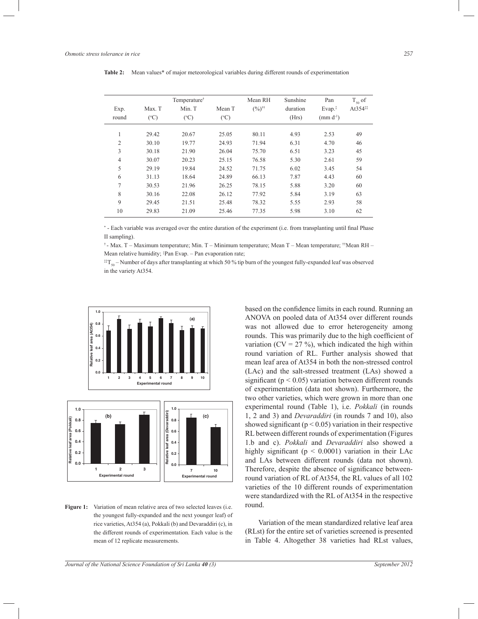|                |                         | Temperature <sup>†</sup> |                         | Mean RH           | Sunshine          | Pan                      | $T_{50}$ of            |
|----------------|-------------------------|--------------------------|-------------------------|-------------------|-------------------|--------------------------|------------------------|
| Exp.<br>round  | Max. T<br>$(^{\circ}C)$ | Min. T<br>$(^{\circ}C)$  | Mean T<br>$(^{\circ}C)$ | $(\%)^{+\dagger}$ | duration<br>(Hrs) | $Evap.*$<br>$/mm d^{-1}$ | At $354$ <sup>**</sup> |
| 1              | 29.42                   | 20.67                    | 25.05                   | 80.11             | 4.93              | 2.53                     | 49                     |
| 2              | 30.10                   | 19.77                    | 24.93                   | 71.94             | 6.31              | 4.70                     | 46                     |
| 3              | 30.18                   | 21.90                    | 26.04                   | 75.70             | 6.51              | 3.23                     | 45                     |
| $\overline{4}$ | 30.07                   | 20.23                    | 25.15                   | 76.58             | 5.30              | 2.61                     | 59                     |
| 5              | 29.19                   | 19.84                    | 24.52                   | 71.75             | 6.02              | 3.45                     | 54                     |
| 6              | 31.13                   | 18.64                    | 24.89                   | 66.13             | 7.87              | 4.43                     | 60                     |
| 7              | 30.53                   | 21.96                    | 26.25                   | 78.15             | 5.88              | 3.20                     | 60                     |
| 8              | 30.16                   | 22.08                    | 26.12                   | 77.92             | 5.84              | 3.19                     | 63                     |
| 9              | 29.45                   | 21.51                    | 25.48                   | 78.32             | 5.55              | 2.93                     | 58                     |
| 10             | 29.83                   | 21.09                    | 25.46                   | 77.35             | 5.98              | 3.10                     | 62                     |

**Table 2:** Mean values\* of major meteorological variables during different rounds of experimentation

\*- Each variable was averaged over the entire duration of the experiment (i.e. from transplanting until final Phase II sampling).

† - Max. T – Maximum temperature; Min. T – Minimum temperature; Mean T – Mean temperature; ††Mean RH – Mean relative humidity; ‡Pan Evap. – Pan evaporation rate;

 $*T_{\text{so}}$  – Number of days after transplanting at which 50 % tip burn of the youngest fully-expanded leaf was observed in the variety At354.



Figure 1: Variation of mean relative area of two selected leaves (i.e. the youngest fully-expanded and the next younger leaf) of rice varieties, At354 (a), Pokkali (b) and Devaraddiri (c), in the different rounds of experimentation. Each value is the mean of 12 replicate measurements.

based on the confidence limits in each round. Running an ANOVA on pooled data of At354 over different rounds was not allowed due to error heterogeneity among rounds. This was primarily due to the high coefficient of variation ( $CV = 27$ %), which indicated the high within round variation of RL. Further analysis showed that mean leaf area of At354 in both the non-stressed control (LAc) and the salt-stressed treatment (LAs) showed a significant ( $p < 0.05$ ) variation between different rounds of experimentation (data not shown). Furthermore, the two other varieties, which were grown in more than one experimental round (Table 1), i.e. *Pokkali* (in rounds 1, 2 and 3) and *Devaraddiri* (in rounds 7 and 10), also showed significant ( $p < 0.05$ ) variation in their respective RL between different rounds of experimentation (Figures 1.b and c). *Pokkali* and *Devaraddiri* also showed a highly significant ( $p < 0.0001$ ) variation in their LAc and LAs between different rounds (data not shown). Therefore, despite the absence of significance betweenround variation of RL of At354, the RL values of all 102 varieties of the 10 different rounds of experimentation were standardized with the RL of At354 in the respective round.

Variation of the mean standardized relative leaf area (RLst) for the entire set of varieties screened is presented in Table 4. Altogether 38 varieties had RLst values,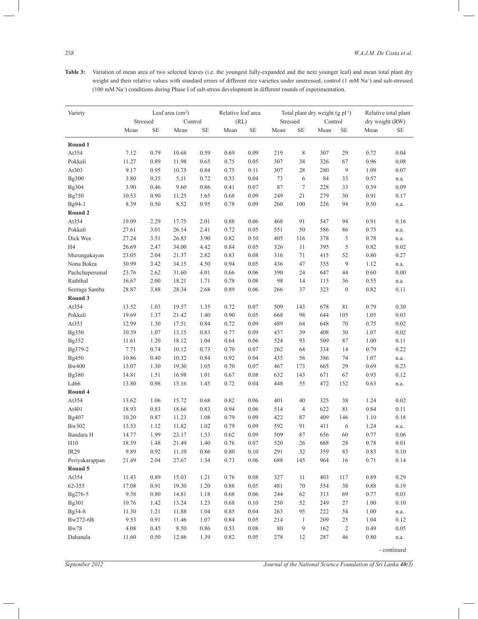**Table 3:** Variation of mean area of two selected leaves (i.e. the youngest fully-expanded and the next younger leaf) and mean total plant dry weight and their relative values with standard errors of different rice varieties under unstressed, control (1 mM Na<sup>+</sup>) and salt-stressed (100 mM Na<sup>+</sup> ) conditions during Phase I of salt-stress development in different rounds of experimentation.

| Variety        |       | Leaf area (cm <sup>2</sup> )<br>Stressed<br>Control |                |           | Relative leaf area |          |        |                | Total plant dry weight $(g pl-1)$ |                  | Relative total plant<br>dry weight (RW) |              |
|----------------|-------|-----------------------------------------------------|----------------|-----------|--------------------|----------|--------|----------------|-----------------------------------|------------------|-----------------------------------------|--------------|
|                |       |                                                     |                |           | (RL)               |          |        | Stressed       | Control                           |                  |                                         |              |
|                | Mean  | SE                                                  | Mean           | <b>SE</b> | Mean               | $\rm SE$ | Mean   | SE             | Mean                              | SE               | Mean                                    | <b>SE</b>    |
| Round 1        |       |                                                     |                |           |                    |          |        |                |                                   |                  |                                         |              |
| At354          | 7.12  | 0.79                                                | 10.68          | 0.59      | 0.69               | 0.09     | 219    | 8              | 307                               | 29               | 0.72                                    | 0.04         |
| Pokkali        | 11.27 | 0.89                                                | 11.98          | 0.65      | 0.75               | 0.05     | 307    | 38             | 326                               | 67               | 0.96                                    | 0.08         |
| At303          | 9.17  | 0.95                                                | 10.75          | 0.84      | 0.75               | 0.11     | 307    | 28             | 280                               | 9                | 1.09                                    | 0.07         |
| Bg300          | 3.80  | 0.35                                                | 5.11           | 0.72      | 0.53               | 0.04     | 73     | 6              | 84                                | 33               | 0.57                                    | n.a.         |
| Bg304          | 3.90  | 0.46                                                | 9.60           | 0.86      | 0.41               | 0.07     | 87     | $\overline{7}$ | 228                               | 33               | 0.39                                    | 0.09         |
| Bg750          | 10.53 | 0.90                                                | 11.25          | 1.65      | 0.68               | 0.09     | 249    | 21             | 279                               | 30               | 0.91                                    | 0.17         |
| Bg94-1         | 8.39  | 0.50                                                | 8.52           | 0.95      | 0.78               | 0.09     | 260    | 100            | 226                               | 94               | 0.50                                    | n.a.         |
| Round 2        |       |                                                     |                |           |                    |          |        |                |                                   |                  |                                         |              |
| At354          | 19.09 | 2.29                                                | 17.75          | 2.01      | 0.88               | 0.06     | 468    | 91             | 547                               | 94               | 0.91                                    | 0.16         |
| Pokkali        | 27.61 | 3.01                                                | 26.14          | 2.41      | 0.72               | 0.05     | 551    | 50             | 586                               | 86               | 0.75                                    | n.a.         |
| Dick Wee       | 27.24 | 3.51                                                | 26.83          | 3.90      | 0.82               | 0.10     | 405    | 116            | 378                               | 5                | 0.78                                    | n.a.         |
| H4             | 26.69 | 2.47                                                | 34.00          | 4.42      | 0.84               | 0.05     | 326    | 11             | 395                               | 5                | 0.82                                    | 0.02         |
| Murungakayan   | 23.05 | 2.04                                                | 21.37          | 2.82      | 0.83               | 0.08     | 316    | 71             | 415                               | 52               | 0.80                                    | 0.27         |
| Nona Bokra     | 30.99 | 3.42                                                | 34.15          | 4.50      | 0.94               | 0.05     | 436    | 47             | 355                               | 9                | 1.12                                    | n.a.         |
| Pachchaperumal | 23.76 | 2.62                                                | 31.60          | 4.01      | 0.66               | 0.06     | 390    | 24             | 647                               | 44               | 0.60                                    | 0.00         |
| Raththal       | 16.67 | 2.00                                                | 18.21          | 1.71      | 0.78               | 0.08     | 98     | 14             | 115                               | 36               | 0.55                                    | n.a.         |
| Seeraga Samba  | 28.87 | 3.88                                                | 28.34          | 2.68      | 0.89               | 0.06     | 266    | 37             | 323                               | $\boldsymbol{0}$ | 0.82                                    | 0.11         |
| Round 3        |       |                                                     |                |           |                    |          |        |                |                                   |                  |                                         |              |
| At354          | 13.52 | 1.03                                                | 19.57          | 1.35      | 0.72               | 0.07     | 509    | 143            | 678                               | 81               | 0.79                                    | 0.30         |
| Pokkali        | 19.69 | 1.37                                                | 21.42          | 1.40      | 0.90               | 0.05     | 668    | 98             | 644                               | 105              | 1.05                                    | 0.03         |
| At353          | 12.99 | 1.30                                                | 17.51          | 0.84      | 0.72               | 0.09     | 489    | 64             | 648                               | 70               | 0.75                                    | 0.02         |
| Bg350          | 10.39 | 1.07                                                | 13.15          | 0.83      | 0.77               | 0.09     | 437    | 39             | 408                               | 30               | 1.07                                    | 0.02         |
| Bg352          | 11.61 | 1.20                                                | 18.12          | 1.04      | 0.64               | 0.06     | 524    | 93             | 509                               | 87               | 1.00                                    | 0.11         |
| Bg379-2        | 7.71  | 0.74                                                | 10.12          | 0.73      | 0.70               | 0.07     | 262    | 64             | 334                               | 14               | 0.79                                    | 0.22         |
| Bg450          | 10.86 | 0.40                                                | 10.32          | 0.84      | 0.92               | 0.04     | 435    | 56             | 386                               | 74               | 1.07                                    | n.a.         |
| <b>Bw400</b>   | 13.07 | 1.30                                                | 19.30          | 1.05      | 0.70               | 0.07     | 467    | 173            | 665                               | 29               | 0.69                                    | 0.23         |
| Bg380          | 14.81 | 1.51                                                | 16.98          | 1.01      | 0.67               | 0.08     | 632    | 143            | 671                               | 67               | 0.93                                    | 0.12         |
| Ld66           | 13.80 | 0.98                                                | 15.16          | 1.45      | 0.72               | 0.04     | 448    | 55             | 472                               | 152              | 0.63                                    | n.a.         |
| Round 4        |       |                                                     |                |           |                    |          |        |                |                                   |                  |                                         |              |
| At354          | 13.62 | 1.06                                                | 15.72          | 0.68      | 0.82               | 0.06     | 401    | 40             | 325                               | 38               | 1.24                                    | 0.02         |
| At401          | 18.93 | 0.83                                                | 18.66          | 0.83      | 0.94               | 0.06     | 514    | $\overline{4}$ | 622                               | 81               | 0.84                                    | 0.11         |
| Bg407          | 10.20 | 0.87                                                | 11.23          | 1.08      | 0.79               | 0.09     | 422    | 87             | 409                               | 146              | 1.10                                    | 0.18         |
| Bw302          | 13.53 | 1.12                                                | 11.82          | 1.02      | 0.79               | 0.09     | 592    | 91             | 411                               | 6                | 1.24                                    | n.a.         |
| Bandara H      | 14.77 | 1.99                                                | 23.17          | 1.53      | 0.62               | 0.09     | 509    | 87             | 656                               | 60               | 0.77                                    | 0.06         |
| H10            | 18.59 | 1.48                                                | 21.49          | 1.40      | 0.76               | 0.07     | 520    | 26             | 668                               | 28               | 0.78                                    | 0.01         |
| <b>IR29</b>    | 9.89  | 0.92                                                | 11.10          | 0.86      | 0.80               | 0.10     | 291    | 32             | 359                               | 83               | 0.83                                    | 0.10         |
| Periyakarappan | 21.49 | 2.04                                                | 27.67          | 1.34      | 0.73               | $0.06\,$ | 688    | 145            | 964                               | 16               | 0.71                                    | 0.14         |
| Round 5        |       |                                                     |                |           |                    |          |        |                |                                   |                  |                                         |              |
| At354          | 11.43 | 0.89                                                | 15.03          | 1.21      | 0.76               | $0.08\,$ | 327    | 11             | 403                               | 117              | 0.89                                    | 0.29         |
| 62-355         | 17.08 | 0.91                                                | 19.30          | 1.20      | 0.88               | 0.05     | 481    | 70             | 554                               | 38               | 0.88                                    | 0.19         |
| Bg276-5        | 9.58  | $0.80\,$                                            | 14.81          | 1.18      | 0.68               | $0.06\,$ | 244    | 62             | 313                               | 69               | 0.77                                    | 0.03         |
| Bg301          | 10.76 | 1.42                                                | 13.24          | 1.23      | 0.68               | 0.10     | 250    | 52             | 249                               | 27               | 1.00                                    | $0.10\,$     |
| Bg34-8         | 11.30 | 1.21                                                |                | 1.04      | 0.85               | 0.04     | 263    | 95             | 222                               | 54               | 1.00                                    |              |
| Bw272-6B       | 9.53  | 0.91                                                | 11.88<br>11.46 | 1.07      | 0.84               | 0.05     | 214    | $\mathbf{1}$   | 209                               | 25               | 1.04                                    | n.a.<br>0.12 |
| Bw78           | 4.08  | 0.45                                                | 8.50           | 0.86      | 0.53               | $0.08\,$ | $80\,$ | 9              | 162                               | $\overline{2}$   | 0.49                                    | 0.05         |
|                |       |                                                     |                |           |                    |          |        |                |                                   |                  |                                         |              |
| Dahanala       | 11.60 | 0.50                                                | 12.86          | 1.39      | 0.82               | 0.05     | 278    | 12             | 287                               | $46\,$           | 0.80                                    | n.a.         |

- continued

*September 2012 Journal of the National Science Foundation of Sri Lanka 40(3)*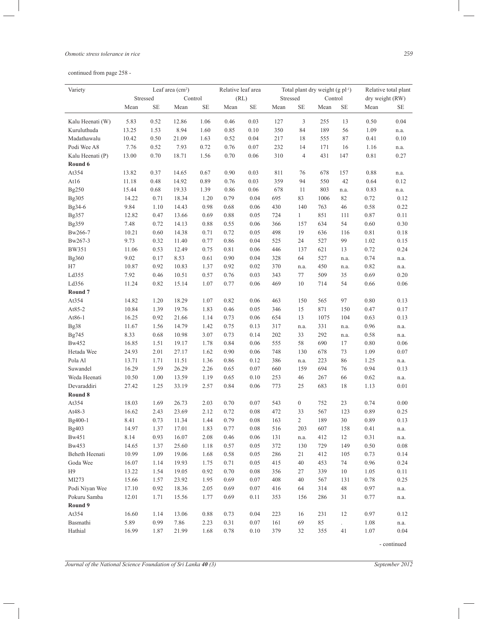#### *Osmotic stress tolerance in rice 259*

continued from page 258 -

| Variety          |       | Stressed | Leaf area $(cm2)$ | Control  | Relative leaf area<br>(RL) |           | Stressed |                  | Total plant dry weight $(g pl-1)$<br>Control |                     | Relative total plant<br>dry weight (RW) |      |
|------------------|-------|----------|-------------------|----------|----------------------------|-----------|----------|------------------|----------------------------------------------|---------------------|-----------------------------------------|------|
|                  | Mean  | SE       | Mean              | $\rm SE$ | Mean                       | <b>SE</b> | Mean     | SE               | Mean                                         | SE                  | Mean                                    | SЕ   |
| Kalu Heenati (W) | 5.83  | 0.52     | 12.86             | 1.06     | 0.46                       | 0.03      | 127      | 3                | 255                                          | 13                  | 0.50                                    | 0.04 |
| Kuruluthuda      | 13.25 | 1.53     | 8.94              | 1.60     | 0.85                       | 0.10      | 350      | 84               | 189                                          | 56                  | 1.09                                    | n.a. |
| Madathawalu      | 10.42 | 0.50     | 21.09             | 1.63     | 0.52                       | 0.04      | 217      | 18               | 555                                          | 87                  | 0.41                                    | 0.10 |
| Podi Wee A8      | 7.76  | 0.52     | 7.93              | 0.72     | 0.76                       | 0.07      | 232      | 14               | 171                                          | 16                  | 1.16                                    | n.a. |
| Kalu Heenati (P) | 13.00 | 0.70     | 18.71             | 1.56     | 0.70                       | 0.06      | 310      | $\overline{4}$   | 431                                          | 147                 | 0.81                                    | 0.27 |
| Round 6          |       |          |                   |          |                            |           |          |                  |                                              |                     |                                         |      |
| At354            | 13.82 | 0.37     | 14.65             | 0.67     | 0.90                       | 0.03      | 811      | 76               | 678                                          | 157                 | 0.88                                    | n.a. |
| At16             | 11.18 | 0.48     | 14.92             | 0.89     | 0.76                       | 0.03      | 359      | 94               | 550                                          | 42                  | 0.64                                    | 0.12 |
| Bg250            | 15.44 | 0.68     | 19.33             | 1.39     | 0.86                       | 0.06      | 678      | 11               | 803                                          | n.a.                | 0.83                                    | n.a. |
| Bg305            | 14.22 | 0.71     | 18.34             | 1.20     | 0.79                       | 0.04      | 695      | 83               | 1006                                         | 82                  | 0.72                                    | 0.12 |
| Bg34-6           | 9.84  | 1.10     | 14.43             | 0.98     | 0.68                       | 0.06      | 430      | 140              | 763                                          | 46                  | 0.58                                    | 0.22 |
| Bg357            | 12.82 | 0.47     | 13.66             | 0.69     | 0.88                       | 0.05      | 724      | $\mathbf{1}$     | 851                                          | 111                 | 0.87                                    | 0.11 |
| Bg359            | 7.48  | 0.72     | 14.13             | 0.88     | 0.55                       | 0.06      | 366      | 157              | 634                                          | 54                  | 0.60                                    | 0.30 |
| Bw266-7          | 10.21 | 0.60     | 14.38             | 0.71     | 0.72                       | 0.05      | 498      | 19               | 636                                          | 116                 | 0.81                                    | 0.18 |
| Bw267-3          | 9.73  | 0.32     | 11.40             | 0.77     | 0.86                       | 0.04      | 525      | 24               | 527                                          | 99                  | 1.02                                    | 0.15 |
| <b>BW351</b>     | 11.06 | 0.53     | 12.49             | 0.75     | 0.81                       | 0.06      | 446      | 137              | 621                                          | 13                  | 0.72                                    | 0.24 |
| Bg360            | 9.02  | 0.17     | 8.53              | 0.61     | 0.90                       | 0.04      | 328      | 64               | 527                                          | n.a.                | 0.74                                    | n.a. |
| H7               | 10.87 | 0.92     | 10.83             | 1.37     | 0.92                       | 0.02      | 370      | n.a.             | 450                                          | n.a.                | 0.82                                    | n.a. |
| Ld355            | 7.92  | 0.46     | 10.51             | 0.57     | 0.76                       | 0.03      | 343      | 77               | 509                                          | 35                  | 0.69                                    | 0.20 |
| Ld356            | 11.24 | 0.82     | 15.14             | 1.07     | 0.77                       | 0.06      | 469      | 10               | 714                                          | 54                  | 0.66                                    | 0.06 |
| Round 7          |       |          |                   |          |                            |           |          |                  |                                              |                     |                                         |      |
| At354            | 14.82 | 1.20     | 18.29             | 1.07     | 0.82                       | 0.06      | 463      | 150              | 565                                          | 97                  | 0.80                                    | 0.13 |
| At85-2           | 10.84 | 1.39     | 19.76             | 1.83     | 0.46                       | 0.05      | 346      | 15               | 871                                          | 150                 | 0.47                                    | 0.17 |
| At86-1           | 16.25 | 0.92     | 21.66             | 1.14     | 0.73                       | 0.06      | 654      | 13               | 1075                                         | 104                 | 0.63                                    | 0.13 |
| Bg38             | 11.67 | 1.56     | 14.79             | 1.42     | 0.75                       | 0.13      | 317      | n.a.             | 331                                          | n.a.                | 0.96                                    | n.a. |
| Bg745            | 8.33  | 0.68     | 10.98             | 3.07     | 0.73                       | 0.14      | 202      | 33               | 292                                          | n.a.                | 0.58                                    | n.a. |
| Bw452            | 16.85 | 1.51     | 19.17             | 1.78     | 0.84                       | 0.06      | 555      | 58               | 690                                          | 17                  | 0.80                                    | 0.06 |
| Hetada Wee       | 24.93 | 2.01     | 27.17             | 1.62     | 0.90                       | 0.06      | 748      | 130              | 678                                          | 73                  | 1.09                                    | 0.07 |
| Pola Al          | 13.71 | 1.71     | 11.51             | 1.36     | 0.86                       | 0.12      | 386      | n.a.             | 223                                          | 86                  | 1.25                                    | n.a. |
| Suwandel         | 16.29 | 1.59     | 26.29             | 2.26     | 0.65                       | 0.07      | 660      | 159              | 694                                          | 76                  | 0.94                                    | 0.13 |
| Weda Heenati     | 10.50 | 1.00     | 13.59             | 1.19     | 0.65                       | 0.10      | 253      | 46               | 267                                          | 66                  | 0.62                                    | n.a. |
| Devaraddiri      | 27.42 | 1.25     | 33.19             | 2.57     | 0.84                       | 0.06      | 773      | 25               | 683                                          | 18                  | 1.13                                    | 0.01 |
| Round 8          |       |          |                   |          |                            |           |          |                  |                                              |                     |                                         |      |
| At354            | 18.03 | 1.69     | 26.73             | 2.03     | 0.70                       | 0.07      | 543      | $\boldsymbol{0}$ | 752                                          | 23                  | 0.74                                    | 0.00 |
| At48-3           | 16.62 | 2.43     | 23.69             | 2.12     | 0.72                       | 0.08      | 472      | 33               | 567                                          | 123                 | 0.89                                    | 0.25 |
| Bg400-1          | 8.41  | 0.73     | 11.34             | 1.44     | 0.79                       | 0.08      | 163      | $\overline{2}$   | 189                                          | 30                  | 0.89                                    | 0.13 |
| Bg403            | 14.97 | 1.37     | 17.01             | 1.83     | 0.77                       | 0.08      | 516      | 203              | 607                                          | 158                 | 0.41                                    | n.a. |
| Bw451            | 8.14  | 0.93     | 16.07             | 2.08     | 0.46                       | 0.06      | 131      | n.a.             | 412                                          | 12                  | 0.31                                    | n.a. |
| Bw453            | 14.65 | 1.37     | 25.60             | 1.18     | 0.57                       | 0.05      | 372      | 130              | 729                                          | 149                 | 0.50                                    | 0.08 |
| Beheth Heenati   | 10.99 | 1.09     | 19.06             | 1.68     | 0.58                       | 0.05      | 286      | 21               | 412                                          | 105                 | 0.73                                    | 0.14 |
| Goda Wee         | 16.07 | 1.14     | 19.93             | 1.75     | 0.71                       | 0.05      | 415      | 40               | 453                                          | 74                  | 0.96                                    | 0.24 |
| H <sub>9</sub>   | 13.22 | 1.54     | 19.05             | 0.92     | 0.70                       | 0.08      | 356      | 27               | 339                                          | 10                  | 1.05                                    | 0.11 |
| MI273            | 15.66 | 1.57     | 23.92             | 1.95     | 0.69                       | 0.07      | 408      | 40               | 567                                          | 131                 | 0.78                                    | 0.25 |
| Podi Niyan Wee   | 17.10 | 0.92     | 18.36             | 2.05     | 0.69                       | 0.07      | 416      | 64               | 314                                          | 48                  | 0.97                                    | n.a. |
| Pokuru Samba     | 12.01 | 1.71     | 15.56             | 1.77     | 0.69                       | 0.11      | 353      | 156              | 286                                          | 31                  | 0.77                                    | n.a. |
| Round 9          |       |          |                   |          |                            |           |          |                  |                                              |                     |                                         |      |
| At354            | 16.60 | 1.14     | 13.06             | 0.88     | 0.73                       | 0.04      | 223      | 16               | 231                                          | 12                  | 0.97                                    | 0.12 |
| Basmathi         | 5.89  | 0.99     | 7.86              | 2.23     | 0.31                       | 0.07      | 161      | 69               | 85                                           | $\mathcal{L}^{\pm}$ | 1.08                                    | n.a. |
| Hathial          | 16.99 | 1.87     | 21.99             | 1.68     | 0.78                       | 0.10      | 379      | 32               | 355                                          | 41                  | 1.07                                    | 0.04 |
|                  |       |          |                   |          |                            |           |          |                  |                                              |                     |                                         |      |

 $\overline{\phantom{0}}$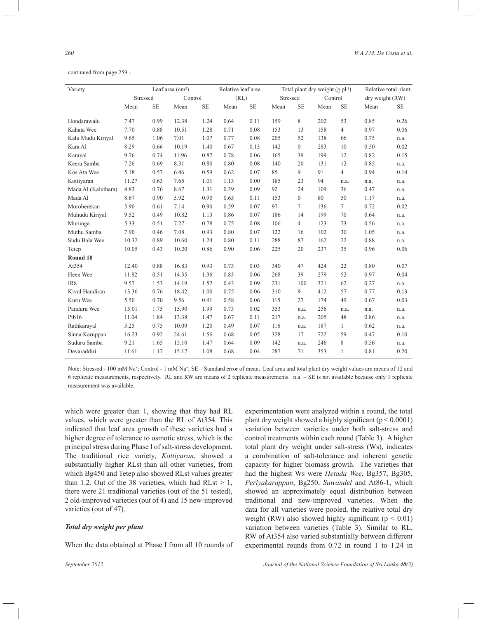continued from page 259 -

| Variety             | Leaf area $(cm2)$ |           |         |          | Relative leaf area |           |          |                | Total plant dry weight $(g \text{ pl}^{-1})$ |                | Relative total plant |           |
|---------------------|-------------------|-----------|---------|----------|--------------------|-----------|----------|----------------|----------------------------------------------|----------------|----------------------|-----------|
|                     | Stressed          |           | Control |          | (RL)               |           | Stressed |                | Control                                      |                | dry weight (RW)      |           |
|                     | Mean              | <b>SE</b> | Mean    | $\rm SE$ | Mean               | <b>SE</b> | Mean     | <b>SE</b>      | Mean                                         | <b>SE</b>      | Mean                 | <b>SE</b> |
|                     |                   |           |         |          |                    |           |          |                |                                              |                |                      |           |
| Hondarawalu         | 7.47              | 0.99      | 12.38   | 1.24     | 0.64               | 0.11      | 159      | 8              | 202                                          | 53             | 0.85                 | 0.26      |
| Kahata Wee          | 7.70              | 0.88      | 10.51   | 1.28     | 0.71               | 0.08      | 153      | 13             | 158                                          | $\overline{4}$ | 0.97                 | 0.06      |
| Kalu Mudu Kiriyal   | 9.65              | 1.06      | 7.01    | 1.07     | 0.77               | 0.08      | 205      | 52             | 138                                          | 66             | 0.75                 | n.a.      |
| Kara Al             | 8.29              | 0.66      | 10.19   | 1.40     | 0.67               | 0.13      | 142      | $\overline{0}$ | 283                                          | 10             | 0.50                 | 0.02      |
| Karayal             | 9.76              | 0.74      | 11.96   | 0.87     | 0.78               | 0.06      | 165      | 39             | 199                                          | 12             | 0.82                 | 0.15      |
| Keera Samba         | 7.26              | 0.69      | 8.31    | 0.80     | 0.80               | 0.08      | 140      | 20             | 131                                          | 12             | 0.85                 | n.a.      |
| Kos Ata Wee         | 5.18              | 0.57      | 6.46    | 0.59     | 0.62               | 0.07      | 85       | 9              | 91                                           | $\overline{4}$ | 0.94                 | 0.14      |
| Kottiyaran          | 11.27             | 0.63      | 7.65    | 1.01     | 1.13               | 0.00      | 185      | 23             | 94                                           | n.a.           | n.a.                 | n.a.      |
| Mada Al (Kaluthara) | 4.83              | 0.76      | 8.67    | 1.31     | 0.39               | 0.09      | 92       | 24             | 109                                          | 36             | 0.47                 | n.a.      |
| Mada Al             | 8.67              | 0.90      | 5.92    | 0.90     | 0.65               | 0.11      | 153      | $\overline{0}$ | 80                                           | 50             | 1.17                 | n.a.      |
| Moroberekan         | 5.90              | 0.61      | 7.14    | 0.90     | 0.59               | 0.07      | 97       | $\overline{7}$ | 136                                          | 7              | 0.72                 | 0.02      |
| Muhudu Kiriyal      | 9.52              | 0.49      | 10.82   | 1.13     | 0.86               | 0.07      | 186      | 14             | 199                                          | 70             | 0.64                 | n.a.      |
| Murunga             | 5.33              | 0.51      | 7.27    | 0.78     | 0.75               | 0.08      | 106      | $\overline{4}$ | 123                                          | 73             | 0.56                 | n.a.      |
| Muthu Samba         | 7.90              | 0.46      | 7.08    | 0.93     | 0.80               | 0.07      | 122      | 16             | 102                                          | 30             | 1.05                 | n.a.      |
| Sudu Bala Wee       | 10.32             | 0.89      | 10.60   | 1.24     | 0.80               | 0.11      | 288      | 87             | 162                                          | 22             | 0.88                 | n.a.      |
| Tetep               | 10.05             | 0.43      | 10.20   | 0.86     | 0.90               | 0.06      | 225      | 20             | 237                                          | 35             | 0.96                 | 0.06      |
| Round 10            |                   |           |         |          |                    |           |          |                |                                              |                |                      |           |
| At354               | 12.40             | 0.88      | 16.83   | 0.93     | 0.73               | 0.03      | 340      | 47             | 424                                          | 22             | 0.80                 | 0.07      |
| Heen Wee            | 11.82             | 0.51      | 14.35   | 1.36     | 0.83               | 0.06      | 268      | 39             | 279                                          | 52             | 0.97                 | 0.04      |
| IR8                 | 9.57              | 1.53      | 14.19   | 1.52     | 0.43               | 0.09      | 231      | 100            | 321                                          | 62             | 0.27                 | n.a.      |
| Kivul Handiran      | 13.36             | 0.76      | 18.42   | 1.00     | 0.75               | 0.06      | 310      | 9              | 412                                          | 57             | 0.77                 | 0.13      |
| Kuru Wee            | 5.50              | 0.70      | 9.56    | 0.91     | 0.58               | 0.06      | 115      | 27             | 174                                          | 49             | 0.67                 | 0.03      |
| Panduru Wee         | 15.01             | 1.75      | 15.90   | 1.99     | 0.73               | 0.02      | 353      | n.a.           | 256                                          | n.a.           | n.a.                 | n.a.      |
| Ptb16               | 11.04             | 1.84      | 13.38   | 1.47     | 0.67               | 0.11      | 217      | n.a.           | 205                                          | 48             | 0.86                 | n.a.      |
| Rathkarayal         | 5.25              | 0.75      | 10.09   | 1.20     | 0.49               | 0.07      | 116      | n.a.           | 187                                          | 1              | 0.62                 | n.a.      |
| Sinna Karuppan      | 16.23             | 0.92      | 24.61   | 1.56     | 0.68               | 0.05      | 328      | 17             | 722                                          | 59             | 0.47                 | 0.10      |
| Suduru Samba        | 9.21              | 1.65      | 15.10   | 1.47     | 0.64               | 0.09      | 142      | n.a.           | 246                                          | 8              | 0.56                 | n.a.      |
| Devaraddiri         | 11.61             | 1.17      | 15.17   | 1.08     | 0.68               | 0.04      | 287      | 71             | 353                                          | $\mathbf{1}$   | 0.81                 | 0.20      |

Note: Stressed - 100 mM Na<sup>+</sup>; Control - 1 mM Na<sup>+</sup>; SE – Standard error of mean. Leaf area and total plant dry weight values are means of 12 and 6 replicate measurements, respectively. RL and RW are means of 2 replicate measurements. n.a. – SE is not available because only 1 replicate measurement was available.

which were greater than 1, showing that they had RL values, which were greater than the RL of At354. This indicated that leaf area growth of these varieties had a higher degree of tolerance to osmotic stress, which is the principal stress during Phase I of salt-stress development. The traditional rice variety, *Kottiyaran*, showed a substantially higher RLst than all other varieties, from which Bg450 and Tetep also showed RLst values greater than 1.2. Out of the 38 varieties, which had RLst  $> 1$ , there were 21 traditional varieties (out of the 51 tested), 2 old-improved varieties (out of 4) and 15 new-improved varieties (out of 47).

#### *Total dry weight per plant*

When the data obtained at Phase I from all 10 rounds of

experimentation were analyzed within a round, the total plant dry weight showed a highly significant  $(p < 0.0001)$ variation between varieties under both salt-stress and control treatments within each round (Table 3). A higher total plant dry weight under salt-stress (Ws), indicates a combination of salt-tolerance and inherent genetic capacity for higher biomass growth. The varieties that had the highest Ws were *Hetada Wee*, Bg357, Bg305, *Periyakarappan*, Bg250, *Suwandel* and At86-1, which showed an approximately equal distribution between traditional and new-improved varieties. When the data for all varieties were pooled, the relative total dry weight (RW) also showed highly significant ( $p < 0.01$ ) variation between varieties (Table 3). Similar to RL, RW of At354 also varied substantially between different experimental rounds from 0.72 in round 1 to 1.24 in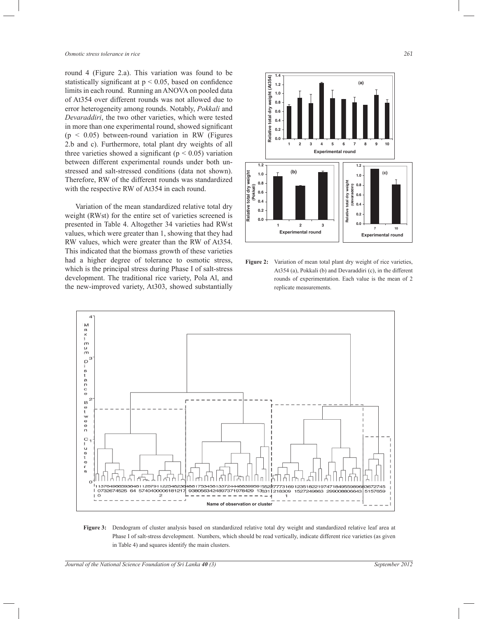round 4 (Figure 2.a). This variation was found to be statistically significant at  $p < 0.05$ , based on confidence limits in each round. Running an ANOVA on pooled data of At354 over different rounds was not allowed due to error heterogeneity among rounds. Notably, *Pokkali* and *Devaraddiri*, the two other varieties, which were tested in more than one experimental round, showed significant  $(p < 0.05)$  between-round variation in RW (Figures 2.b and c). Furthermore, total plant dry weights of all three varieties showed a significant ( $p < 0.05$ ) variation between different experimental rounds under both unstressed and salt-stressed conditions (data not shown). Therefore, RW of the different rounds was standardized with the respective RW of At354 in each round.

 Variation of the mean standardized relative total dry weight (RWst) for the entire set of varieties screened is presented in Table 4. Altogether 34 varieties had RWst values, which were greater than 1, showing that they had RW values, which were greater than the RW of At354. This indicated that the biomass growth of these varieties had a higher degree of tolerance to osmotic stress, which is the principal stress during Phase I of salt-stress development. The traditional rice variety, Pola Al, and the new-improved variety, At303, showed substantially



Figure 2: Variation of mean total plant dry weight of rice varieties, At354 (a), Pokkali (b) and Devaraddiri (c), in the different rounds of experimentation. Each value is the mean of 2 replicate measurements.

**Experimental Round Experimental round**



**Relative Total Dry Weight** 

**Relative total dry weight**

Relative total dry weight

**Figure 3:** Dendogram of cluster analysis based on standardized relative total dry weight and standardized relative leaf area at Phase I of salt-stress development. Numbers, which should be read vertically, indicate different rice varieties (as given in Table 4) and squares identify the main clusters.

**7 10 Experimental round**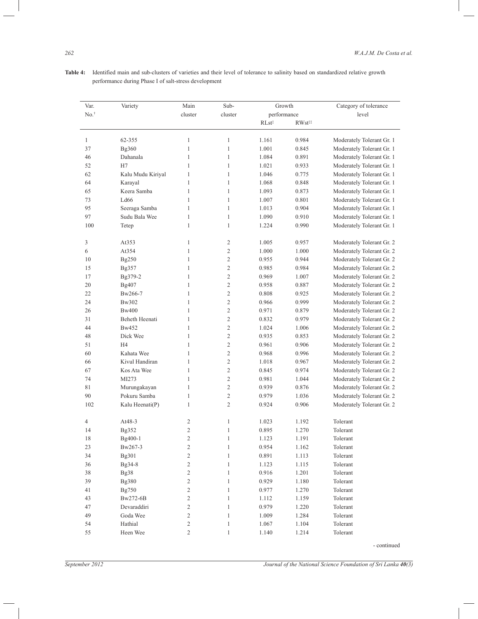| Var.         | Variety               | Main         | Sub-           |                       | Growth             | Category of tolerance     |
|--------------|-----------------------|--------------|----------------|-----------------------|--------------------|---------------------------|
| $No.$ †      |                       | cluster      | cluster        | performance           |                    | level                     |
|              |                       |              |                | $\mathrm{RLst}^\ddag$ | RWst <sup>##</sup> |                           |
| $\mathbf{1}$ | 62-355                | $\mathbf{1}$ | $\mathbf{1}$   | 1.161                 | 0.984              | Moderately Tolerant Gr. 1 |
| 37           | Bg360                 | 1            | $\mathbf{1}$   | 1.001                 | 0.845              | Moderately Tolerant Gr. 1 |
| 46           | Dahanala              | $\mathbf{1}$ | $\mathbf{1}$   | 1.084                 | 0.891              | Moderately Tolerant Gr. 1 |
| 52           | H7                    | 1            | $\mathbf{1}$   | 1.021                 | 0.933              | Moderately Tolerant Gr. 1 |
| 62           | Kalu Mudu Kiriyal     | $\mathbf{1}$ | $\mathbf{1}$   | 1.046                 | 0.775              | Moderately Tolerant Gr. 1 |
| 64           | Karayal               | $\mathbf{1}$ | $\mathbf{1}$   | 1.068                 | 0.848              | Moderately Tolerant Gr. 1 |
| 65           | Keera Samba           | $\mathbf{1}$ | 1              | 1.093                 | 0.873              | Moderately Tolerant Gr. 1 |
| 73           | Ld66                  | $\mathbf{1}$ | $\mathbf{1}$   | 1.007                 | 0.801              | Moderately Tolerant Gr. 1 |
| 95           | Seeraga Samba         | $\mathbf{1}$ | $\mathbf{1}$   | 1.013                 | 0.904              | Moderately Tolerant Gr. 1 |
| 97           | Sudu Bala Wee         | $\mathbf{1}$ | $\mathbf{1}$   | 1.090                 | 0.910              | Moderately Tolerant Gr. 1 |
| 100          | Tetep                 | $\mathbf{1}$ | $\mathbf{1}$   | 1.224                 | 0.990              | Moderately Tolerant Gr. 1 |
| 3            | At353                 | $\mathbf{1}$ | $\mathfrak{2}$ | 1.005                 | 0.957              | Moderately Tolerant Gr. 2 |
| 6            | At354                 | $\mathbf{1}$ | $\overline{2}$ | 1.000                 | 1.000              | Moderately Tolerant Gr. 2 |
| 10           | Bg250                 | $\mathbf{1}$ | $\overline{2}$ | 0.955                 | 0.944              | Moderately Tolerant Gr. 2 |
| 15           | Bg357                 | $\mathbf{1}$ | $\overline{2}$ | 0.985                 | 0.984              | Moderately Tolerant Gr. 2 |
| 17           | Bg379-2               | $\mathbf{1}$ | $\overline{2}$ | 0.969                 | 1.007              | Moderately Tolerant Gr. 2 |
| 20           | Bg407                 | 1            | $\overline{2}$ | 0.958                 | 0.887              | Moderately Tolerant Gr. 2 |
| 22           | Bw266-7               | $\mathbf{1}$ | $\overline{2}$ | 0.808                 | 0.925              | Moderately Tolerant Gr. 2 |
| 24           | Bw302                 | $\mathbf{1}$ | $\overline{2}$ | 0.966                 | 0.999              | Moderately Tolerant Gr. 2 |
| 26           | <b>Bw400</b>          | $\mathbf{1}$ | $\overline{2}$ | 0.971                 | 0.879              | Moderately Tolerant Gr. 2 |
| 31           | <b>Beheth Heenati</b> | 1            | $\overline{2}$ | 0.832                 | 0.979              | Moderately Tolerant Gr. 2 |
| 44           | Bw452                 | $\mathbf{1}$ | $\overline{2}$ | 1.024                 | 1.006              | Moderately Tolerant Gr. 2 |
| 48           | Dick Wee              | $\mathbf{1}$ | $\overline{2}$ | 0.935                 | 0.853              | Moderately Tolerant Gr. 2 |
| 51           | H <sub>4</sub>        | $\mathbf{1}$ | $\overline{2}$ | 0.961                 | 0.906              | Moderately Tolerant Gr. 2 |
| 60           | Kahata Wee            | $\mathbf{1}$ | $\overline{2}$ | 0.968                 | 0.996              | Moderately Tolerant Gr. 2 |
| 66           | Kivul Handiran        | $\mathbf{1}$ | $\overline{2}$ | 1.018                 | 0.967              | Moderately Tolerant Gr. 2 |
| 67           | Kos Ata Wee           | $\mathbf{1}$ | $\overline{2}$ | 0.845                 | 0.974              | Moderately Tolerant Gr. 2 |
| 74           | MI273                 | $\mathbf{1}$ | $\overline{2}$ | 0.981                 | 1.044              | Moderately Tolerant Gr. 2 |
| 81           | Murungakayan          | $\mathbf{1}$ | $\overline{2}$ | 0.939                 | 0.876              | Moderately Tolerant Gr. 2 |
| 90           | Pokuru Samba          | 1            | $\overline{2}$ | 0.979                 | 1.036              | Moderately Tolerant Gr. 2 |
| 102          | Kalu Heenati(P)       | $\mathbf{1}$ | $\overline{2}$ | 0.924                 | 0.906              | Moderately Tolerant Gr. 2 |

4 At48-3 2 1 1.023 1.192 Tolerant 14 Bg352 2 1 0.895 1.270 Tolerant 18 Bg400-1 2 1 1.123 1.191 Tolerant 23 Bw267-3 2 1 0.954 1.162 Tolerant 34 Bg301 2 1 0.891 1.113 Tolerant 36 Bg34-8 2 1 1.123 1.115 Tolerant 38 Bg38 2 1 0.916 1.201 Tolerant 39 Bg380 2 1 0.929 1.180 Tolerant 41 Bg750 2 1 0.977 1.270 Tolerant 43 Bw272-6B 2 1 1.112 1.159 Tolerant 47 Devaraddiri 2 1 0.979 1.220 Tolerant 49 Goda Wee 2 1 1.009 1.284 Tolerant 54 Hathial 2 1.067 1.104 Tolerant 55 Heen Wee 2 1 1.140 1.214 Tolerant

**Table 4:** Identified main and sub-clusters of varieties and their level of tolerance to salinity based on standardized relative growth performance during Phase I of salt-stress development

- continued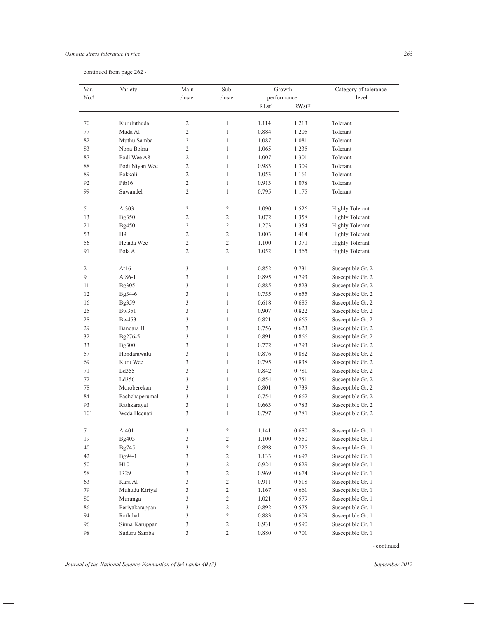#### *Osmotic stress tolerance in rice 263*

| continued from page 262 - |  |  |  |  |
|---------------------------|--|--|--|--|
|---------------------------|--|--|--|--|

| Var. | Variety          | Main           | Sub-           |                   | Growth             | Category of tolerance  |
|------|------------------|----------------|----------------|-------------------|--------------------|------------------------|
| No.  |                  | cluster        | cluster        | performance       |                    | level                  |
|      |                  |                |                | RLst <sup>‡</sup> | RWst <sup>::</sup> |                        |
| 70   | Kuruluthuda      | 2              | $\mathbf{1}$   | 1.114             | 1.213              | Tolerant               |
| 77   | Mada Al          | $\overline{c}$ | $\mathbf{1}$   | 0.884             | 1.205              | Tolerant               |
| 82   | Muthu Samba      | 2              | $\mathbf{1}$   | 1.087             | 1.081              | Tolerant               |
| 83   | Nona Bokra       | 2              | $\mathbf{1}$   | 1.065             | 1.235              | Tolerant               |
| 87   | Podi Wee A8      | 2              | $\mathbf{1}$   | 1.007             | 1.301              | Tolerant               |
| 88   | Podi Niyan Wee   | $\overline{2}$ | $\mathbf{1}$   | 0.983             | 1.309              | Tolerant               |
| 89   | Pokkali          | $\overline{c}$ | $\mathbf{1}$   | 1.053             | 1.161              | Tolerant               |
| 92   | Ptb16            | $\overline{c}$ | $\mathbf{1}$   | 0.913             | 1.078              | Tolerant               |
| 99   | Suwandel         | $\overline{2}$ | $\mathbf{1}$   | 0.795             | 1.175              | Tolerant               |
|      |                  |                |                |                   |                    |                        |
| 5    | At303            | 2              | 2              | 1.090             | 1.526              | <b>Highly Tolerant</b> |
| 13   | Bg350            | $\overline{c}$ | $\overline{2}$ | 1.072             | 1.358              | <b>Highly Tolerant</b> |
| 21   | Bg450            | $\overline{c}$ | $\overline{2}$ | 1.273             | 1.354              | <b>Highly Tolerant</b> |
| 53   | H9               | $\overline{c}$ | $\overline{2}$ | 1.003             | 1.414              | <b>Highly Tolerant</b> |
| 56   | Hetada Wee       | 2              | $\overline{2}$ | 1.100             | 1.371              | <b>Highly Tolerant</b> |
| 91   | Pola Al          | 2              | $\overline{2}$ | 1.052             | 1.565              | <b>Highly Tolerant</b> |
| 2    | At16             | 3              | $\mathbf{1}$   | 0.852             | 0.731              | Susceptible Gr. 2      |
| 9    | At86-1           | 3              | $\mathbf{1}$   | 0.895             | 0.793              | Susceptible Gr. 2      |
| 11   | Bg305            | 3              | $\mathbf{1}$   | 0.885             | 0.823              | Susceptible Gr. 2      |
| 12   | Bg34-6           | 3              | $\mathbf{1}$   | 0.755             | 0.655              | Susceptible Gr. 2      |
| 16   | Bg359            | 3              | $\mathbf{1}$   | 0.618             | 0.685              | Susceptible Gr. 2      |
| 25   | Bw351            | 3              | $\mathbf{1}$   | 0.907             | 0.822              | Susceptible Gr. 2      |
| 28   | Bw453            | 3              | $\mathbf{1}$   | 0.821             | 0.665              | Susceptible Gr. 2      |
| 29   | Bandara H        | 3              | $\mathbf{1}$   | 0.756             | 0.623              | Susceptible Gr. 2      |
| 32   | Bg276-5          | 3              | $\mathbf{1}$   | 0.891             | 0.866              | Susceptible Gr. 2      |
| 33   | Bg300            | 3              | $\mathbf{1}$   | 0.772             | 0.793              | Susceptible Gr. 2      |
| 57   | Hondarawalu      | 3              | $\mathbf{1}$   | 0.876             | 0.882              | Susceptible Gr. 2      |
| 69   | Kuru Wee         | 3              | $\mathbf{1}$   | 0.795             | 0.838              | Susceptible Gr. 2      |
| 71   | Ld355            | 3              | $\mathbf{1}$   | 0.842             | 0.781              | Susceptible Gr. 2      |
| 72   | Ld356            | 3              | $\mathbf{1}$   | 0.854             | 0.751              | Susceptible Gr. 2      |
| 78   | Moroberekan      | 3              | $\mathbf{1}$   | 0.801             | 0.739              | Susceptible Gr. 2      |
| 84   | Pachchaperumal   | 3              | $\mathbf{1}$   | 0.754             | 0.662              | Susceptible Gr. 2      |
| 93   | Rathkarayal      | 3              | $\mathbf{1}$   | 0.663             | 0.783              | Susceptible Gr. 2      |
| 101  | Weda Heenati     | 3              | $\mathbf{1}$   | 0.797             | 0.781              | Susceptible Gr. 2      |
|      |                  |                |                |                   |                    |                        |
| 7    | At401            | 3              | $\overline{c}$ | 1.141             | 0.680              | Susceptible Gr. 1      |
| 19   | Bg403            | 3              | $\overline{c}$ | 1.100             | 0.550              | Susceptible Gr. 1      |
| 40   | Bg745            | 3              | $\overline{2}$ | 0.898             | 0.725              | Susceptible Gr. 1      |
| 42   | Bg94-1           | 3              | $\sqrt{2}$     | 1.133             | 0.697              | Susceptible Gr. 1      |
| 50   | H10              | 3              | $\sqrt{2}$     | 0.924             | 0.629              | Susceptible Gr. 1      |
| 58   | IR <sub>29</sub> | 3              | $\sqrt{2}$     | 0.969             | 0.674              | Susceptible Gr. 1      |
| 63   | Kara Al          | 3              | $\overline{2}$ | 0.911             | 0.518              | Susceptible Gr. 1      |
| 79   | Muhudu Kiriyal   | 3              | 2              | 1.167             | 0.661              | Susceptible Gr. 1      |
| 80   | Murunga          | 3              | $\overline{2}$ | 1.021             | 0.579              | Susceptible Gr. 1      |
| 86   | Periyakarappan   | 3              | $\sqrt{2}$     | 0.892             | 0.575              | Susceptible Gr. 1      |
| 94   | Raththal         | 3              | $\mathfrak{2}$ | 0.883             | 0.609              | Susceptible Gr. 1      |
| 96   | Sinna Karuppan   | 3              | 2              | 0.931             | 0.590              | Susceptible Gr. 1      |
| 98   | Suduru Samba     | 3              | $\sqrt{2}$     | 0.880             | 0.701              | Susceptible Gr. 1      |
|      |                  |                |                |                   |                    |                        |

- continued

 $\overline{\phantom{0}}$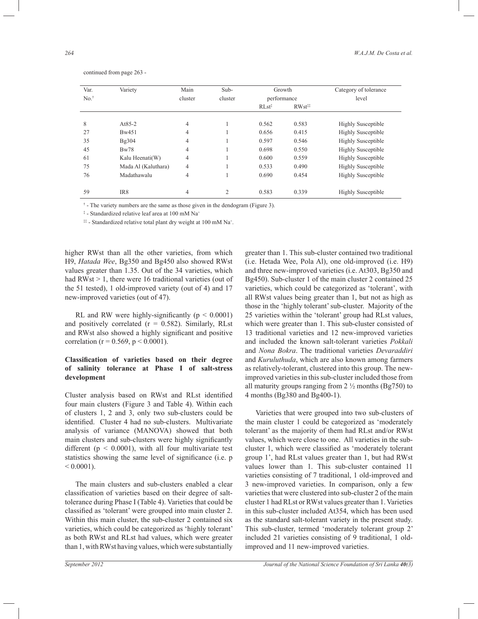| Var.            | Variety             | Main           | Sub-    |                   | Growth               | Category of tolerance     |  |
|-----------------|---------------------|----------------|---------|-------------------|----------------------|---------------------------|--|
| $No.^{\dagger}$ |                     | cluster        | cluster | performance       |                      | level                     |  |
|                 |                     |                |         | $RLst^{\ddagger}$ | $RWst$ <sup>**</sup> |                           |  |
| 8               | At $85-2$           | 4              |         | 0.562             | 0.583                | Highly Susceptible        |  |
| 27              | Bw451               | 4              |         | 0.656             | 0.415                | <b>Highly Susceptible</b> |  |
| 35              | Bg304               | 4              |         | 0.597             | 0.546                | <b>Highly Susceptible</b> |  |
| 45              | Bw78                | $\overline{4}$ |         | 0.698             | 0.550                | <b>Highly Susceptible</b> |  |
| 61              | Kalu Heenati(W)     | 4              |         | 0.600             | 0.559                | <b>Highly Susceptible</b> |  |
| 75              | Mada Al (Kaluthara) | 4              |         | 0.533             | 0.490                | <b>Highly Susceptible</b> |  |
| 76              | Madathawalu         | 4              |         | 0.690             | 0.454                | <b>Highly Susceptible</b> |  |
| 59              | IR8                 | 4              | 2       | 0.583             | 0.339                | <b>Highly Susceptible</b> |  |

continued from page 263 -

† - The variety numbers are the same as those given in the dendogram (Figure 3).

‡ - Standardized relative leaf area at 100 mM Na<sup>+</sup>

<sup>##</sup> - Standardized relative total plant dry weight at 100 mM Na<sup>+</sup>.

higher RWst than all the other varieties, from which H9, *Hatada Wee*, Bg350 and Bg450 also showed RWst values greater than 1.35. Out of the 34 varieties, which had RWst > 1, there were 16 traditional varieties (out of the 51 tested), 1 old-improved variety (out of 4) and 17 new-improved varieties (out of 47).

RL and RW were highly-significantly ( $p < 0.0001$ ) and positively correlated  $(r = 0.582)$ . Similarly, RLst and RWst also showed a highly significant and positive correlation ( $r = 0.569$ ,  $p \le 0.0001$ ).

### **Classification of varieties based on their degree of salinity tolerance at Phase I of salt-stress development**

Cluster analysis based on RWst and RLst identified four main clusters (Figure 3 and Table 4). Within each of clusters 1, 2 and 3, only two sub-clusters could be identified. Cluster 4 had no sub-clusters. Multivariate analysis of variance (MANOVA) showed that both main clusters and sub-clusters were highly significantly different ( $p < 0.0001$ ), with all four multivariate test statistics showing the same level of significance (i.e. p  $< 0.0001$ ).

 The main clusters and sub-clusters enabled a clear classification of varieties based on their degree of salttolerance during Phase I (Table 4). Varieties that could be classified as 'tolerant' were grouped into main cluster 2. Within this main cluster, the sub-cluster 2 contained six varieties, which could be categorized as 'highly tolerant' as both RWst and RLst had values, which were greater than 1, with RWst having values, which were substantially

greater than 1. This sub-cluster contained two traditional (i.e. Hetada Wee, Pola Al), one old-improved (i.e. H9) and three new-improved varieties (i.e. At303, Bg350 and Bg450). Sub-cluster 1 of the main cluster 2 contained 25 varieties, which could be categorized as 'tolerant', with all RWst values being greater than 1, but not as high as those in the 'highly tolerant' sub-cluster. Majority of the 25 varieties within the 'tolerant' group had RLst values, which were greater than 1. This sub-cluster consisted of 13 traditional varieties and 12 new-improved varieties and included the known salt-tolerant varieties *Pokkali*  and *Nona Bokra*. The traditional varieties *Devaraddiri*  and *Kuruluthuda*, which are also known among farmers as relatively-tolerant, clustered into this group. The newimproved varieties in this sub-cluster included those from all maturity groups ranging from  $2\frac{1}{2}$  months (Bg750) to 4 months (Bg380 and Bg400-1).

 Varieties that were grouped into two sub-clusters of the main cluster 1 could be categorized as 'moderately tolerant' as the majority of them had RLst and/or RWst values, which were close to one. All varieties in the subcluster 1, which were classified as 'moderately tolerant group 1', had RLst values greater than 1, but had RWst values lower than 1. This sub-cluster contained 11 varieties consisting of 7 traditional, 1 old-improved and 3 new-improved varieties. In comparison, only a few varieties that were clustered into sub-cluster 2 of the main cluster 1 had RLst or RWst values greater than 1. Varieties in this sub-cluster included At354, which has been used as the standard salt-tolerant variety in the present study. This sub-cluster, termed 'moderately tolerant group 2' included 21 varieties consisting of 9 traditional, 1 oldimproved and 11 new-improved varieties.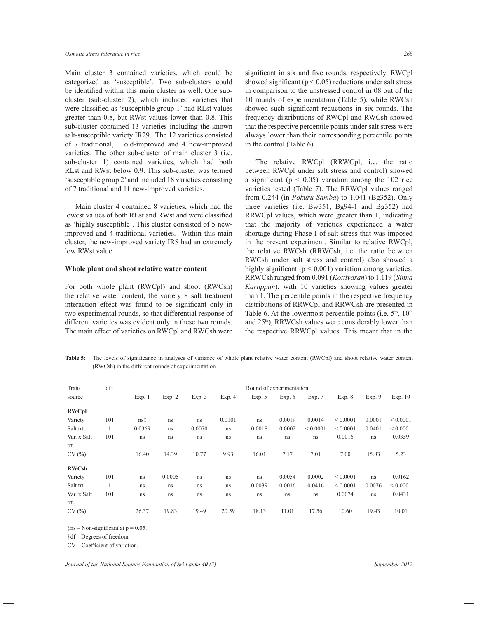#### *Osmotic stress tolerance in rice 265*

Main cluster 3 contained varieties, which could be categorized as 'susceptible'. Two sub-clusters could be identified within this main cluster as well. One subcluster (sub-cluster 2), which included varieties that were classified as 'susceptible group 1' had RLst values greater than 0.8, but RWst values lower than 0.8. This sub-cluster contained 13 varieties including the known salt-susceptible variety IR29. The 12 varieties consisted of 7 traditional, 1 old-improved and 4 new-improved varieties. The other sub-cluster of main cluster 3 (i.e. sub-cluster 1) contained varieties, which had both RLst and RWst below 0.9. This sub-cluster was termed 'susceptible group 2' and included 18 varieties consisting of 7 traditional and 11 new-improved varieties.

 Main cluster 4 contained 8 varieties, which had the lowest values of both RLst and RWst and were classified as 'highly susceptible'. This cluster consisted of 5 newimproved and 4 traditional varieties. Within this main cluster, the new-improved variety IR8 had an extremely low RWst value.

#### **Whole plant and shoot relative water content**

For both whole plant (RWCpl) and shoot (RWCsh) the relative water content, the variety **×** salt treatment interaction effect was found to be significant only in two experimental rounds, so that differential response of different varieties was evident only in these two rounds. The main effect of varieties on RWCpl and RWCsh were

significant in six and five rounds, respectively. RWCpl showed significant ( $p < 0.05$ ) reductions under salt stress in comparison to the unstressed control in 08 out of the 10 rounds of experimentation (Table 5), while RWCsh showed such significant reductions in six rounds. The frequency distributions of RWCpl and RWCsh showed that the respective percentile points under salt stress were always lower than their corresponding percentile points in the control (Table 6).

 The relative RWCpl (RRWCpl, i.e. the ratio between RWCpl under salt stress and control) showed a significant ( $p < 0.05$ ) variation among the 102 rice varieties tested (Table 7). The RRWCpl values ranged from 0.244 (in *Pokuru Samba*) to 1.041 (Bg352). Only three varieties (i.e. Bw351, Bg94-1 and Bg352) had RRWCpl values, which were greater than 1, indicating that the majority of varieties experienced a water shortage during Phase I of salt stress that was imposed in the present experiment. Similar to relative RWCpl, the relative RWCsh (RRWCsh, i.e. the ratio between RWCsh under salt stress and control) also showed a highly significant ( $p < 0.001$ ) variation among varieties. RRWCsh ranged from 0.091 (*Kottiyaran*) to 1.119 (*Sinna Karuppan*), with 10 varieties showing values greater than 1. The percentile points in the respective frequency distributions of RRWCpl and RRWCsh are presented in Table 6. At the lowermost percentile points (i.e.  $5<sup>th</sup>$ ,  $10<sup>th</sup>$ ) and 25<sup>th</sup>), RRWCsh values were considerably lower than the respective RRWCpl values. This meant that in the

**Table 5:** The levels of significance in analyses of variance of whole plant relative water content (RWCpl) and shoot relative water content (RWCsh) in the different rounds of experimentation

| Trait/       | df† |        |        |        |        | Round of experimentation |        |              |              |        |              |
|--------------|-----|--------|--------|--------|--------|--------------------------|--------|--------------|--------------|--------|--------------|
| source       |     | Exp.1  | Exp. 2 | Exp.3  | Exp. 4 | Exp. $5$                 | Exp. 6 | Exp. 7       | Exp. 8       | Exp.9  | Exp. 10      |
| <b>RWCpl</b> |     |        |        |        |        |                          |        |              |              |        |              |
| Variety      | 101 | ns‡    | ns     | ns     | 0.0101 | ns                       | 0.0019 | 0.0014       | ${}< 0.0001$ | 0.0001 | ${}< 0.0001$ |
| Salt trt.    | 1   | 0.0369 | ns     | 0.0070 | ns     | 0.0018                   | 0.0002 | ${}< 0.0001$ | ${}< 0.0001$ | 0.0401 | ${}< 0.0001$ |
| Var. x Salt  | 101 | ns     | ns     | ns     | ns     | ns                       | ns     | ns           | 0.0016       | ns     | 0.0359       |
| trt.         |     |        |        |        |        |                          |        |              |              |        |              |
| CV(%)        |     | 16.40  | 14.39  | 10.77  | 9.93   | 16.01                    | 7.17   | 7.01         | 7.00         | 15.83  | 5.23         |
| <b>RWCsh</b> |     |        |        |        |        |                          |        |              |              |        |              |
| Variety      | 101 | ns     | 0.0005 | ns     | ns     | ns                       | 0.0054 | 0.0002       | ${}< 0.0001$ | ns     | 0.0162       |
| Salt trt.    | 1   | ns     | ns     | ns     | ns     | 0.0039                   | 0.0016 | 0.0416       | ${}< 0.0001$ | 0.0076 | ${}< 0.0001$ |
| Var. x Salt  | 101 | ns     | ns     | ns     | ns     | ns                       | ns     | ns           | 0.0074       | ns     | 0.0431       |
| trt.         |     |        |        |        |        |                          |        |              |              |        |              |
| CV(%)        |     | 26.37  | 19.83  | 19.49  | 20.59  | 18.13                    | 11.01  | 17.56        | 10.60        | 19.43  | 10.01        |
|              |     |        |        |        |        |                          |        |              |              |        |              |

 $\text{tns} - \text{Non-significant at } p = 0.05.$ 

†df – Degrees of freedom.

CV – Coefficient of variation.

*Journal of the National Science Foundation of Sri Lanka 40 (3) September 2012*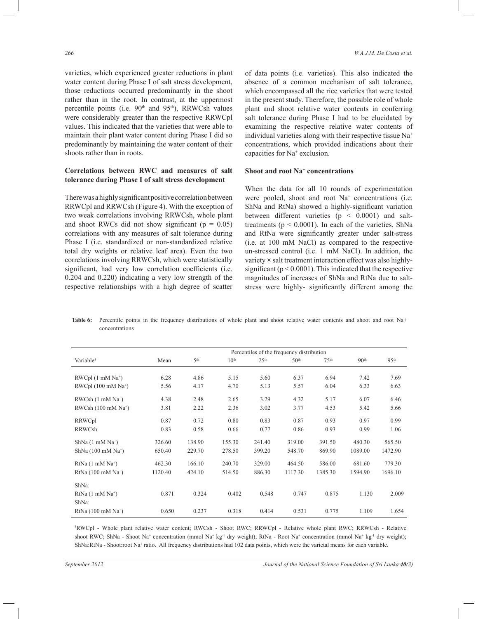varieties, which experienced greater reductions in plant water content during Phase I of salt stress development, those reductions occurred predominantly in the shoot rather than in the root. In contrast, at the uppermost percentile points (i.e.  $90<sup>th</sup>$  and  $95<sup>th</sup>$ ), RRWCsh values were considerably greater than the respective RRWCpl values. This indicated that the varieties that were able to maintain their plant water content during Phase I did so predominantly by maintaining the water content of their shoots rather than in roots.

### **Correlations between RWC and measures of salt tolerance during Phase I of salt stress development**

There was a highly significant positive correlation between RRWCpl and RRWCsh (Figure 4). With the exception of two weak correlations involving RRWCsh, whole plant and shoot RWCs did not show significant ( $p = 0.05$ ) correlations with any measures of salt tolerance during Phase I (i.e. standardized or non-standardized relative total dry weights or relative leaf area). Even the two correlations involving RRWCsh, which were statistically significant, had very low correlation coefficients (i.e. 0.204 and 0.220) indicating a very low strength of the respective relationships with a high degree of scatter

of data points (i.e. varieties). This also indicated the absence of a common mechanism of salt tolerance, which encompassed all the rice varieties that were tested in the present study. Therefore, the possible role of whole plant and shoot relative water contents in conferring salt tolerance during Phase I had to be elucidated by examining the respective relative water contents of individual varieties along with their respective tissue Na<sup>+</sup> concentrations, which provided indications about their capacities for Na<sup>+</sup> exclusion.

#### **Shoot and root Na<sup>+</sup> concentrations**

When the data for all 10 rounds of experimentation were pooled, shoot and root Na<sup>+</sup> concentrations (i.e. ShNa and RtNa) showed a highly-significant variation between different varieties  $(p < 0.0001)$  and salttreatments ( $p < 0.0001$ ). In each of the varieties, ShNa and RtNa were significantly greater under salt-stress (i.e. at 100 mM NaCl) as compared to the respective un-stressed control (i.e. 1 mM NaCl). In addition, the variety **×** salt treatment interaction effect was also highlysignificant ( $p < 0.0001$ ). This indicated that the respective magnitudes of increases of ShNa and RtNa due to saltstress were highly- significantly different among the

Table 6: Percentile points in the frequency distributions of whole plant and shoot relative water contents and shoot and root Na+ concentrations

|                                           |         |                 |                  |                  | Percentiles of the frequency distribution |                  |                  |                  |
|-------------------------------------------|---------|-----------------|------------------|------------------|-------------------------------------------|------------------|------------------|------------------|
| Variable <sup>+</sup>                     | Mean    | 5 <sup>th</sup> | 10 <sup>th</sup> | 25 <sup>th</sup> | 50 <sup>th</sup>                          | 75 <sup>th</sup> | 90 <sup>th</sup> | 95 <sup>th</sup> |
|                                           |         |                 |                  |                  |                                           |                  |                  |                  |
| $RWCpl$ (1 mM $Na+$ )                     | 6.28    | 4.86            | 5.15             | 5.60             | 6.37                                      | 6.94             | 7.42             | 7.69             |
| RWCpl $(100 \text{ mM } Na^+)$            | 5.56    | 4.17            | 4.70             | 5.13             | 5.57                                      | 6.04             | 6.33             | 6.63             |
| $RWCsh(1 mM Na+)$                         | 4.38    | 2.48            | 2.65             | 3.29             | 4.32                                      | 5.17             | 6.07             | 6.46             |
| RWCsh $(100 \text{ mM } Na^+)$            | 3.81    | 2.22            | 2.36             | 3.02             | 3.77                                      | 4.53             | 5.42             | 5.66             |
| RRWCpl                                    | 0.87    | 0.72            | 0.80             | 0.83             | 0.87                                      | 0.93             | 0.97             | 0.99             |
| RRWCsh                                    | 0.83    | 0.58            | 0.66             | 0.77             | 0.86                                      | 0.93             | 0.99             | 1.06             |
| $ShNa(1 \text{ mM } Na^+)$                | 326.60  | 138.90          | 155.30           | 241.40           | 319.00                                    | 391.50           | 480.30           | 565.50           |
| ShNa $(100 \text{ mM }$ Na <sup>+</sup> ) | 650.40  | 229.70          | 278.50           | 399.20           | 548.70                                    | 869.90           | 1089.00          | 1472.90          |
| $RtNa$ (1 mM Na <sup>+</sup> )            | 462.30  | 166.10          | 240.70           | 329.00           | 464.50                                    | 586.00           | 681.60           | 779.30           |
| RtNa $(100 \text{ mM Na}^+)$              | 1120.40 | 424.10          | 514.50           | 886.30           | 1117.30                                   | 1385.30          | 1594.90          | 1696.10          |
| ShNa:                                     |         |                 |                  |                  |                                           |                  |                  |                  |
| $RtNa$ (1 mM Na <sup>+</sup> )<br>ShNa:   | 0.871   | 0.324           | 0.402            | 0.548            | 0.747                                     | 0.875            | 1.130            | 2.009            |
| $RtNa$ (100 mM $Na+$ )                    | 0.650   | 0.237           | 0.318            | 0.414            | 0.531                                     | 0.775            | 1.109            | 1.654            |

†RWCpl - Whole plant relative water content; RWCsh - Shoot RWC; RRWCpl - Relative whole plant RWC; RRWCsh - Relative shoot RWC; ShNa - Shoot Na<sup>+</sup> concentration (mmol Na<sup>+</sup> kg<sup>-1</sup> dry weight); RtNa - Root Na<sup>+</sup> concentration (mmol Na<sup>+</sup> kg<sup>-1</sup> dry weight); ShNa:RtNa - Shoot:root Na<sup>+</sup> ratio. All frequency distributions had 102 data points, which were the varietal means for each variable.

Ī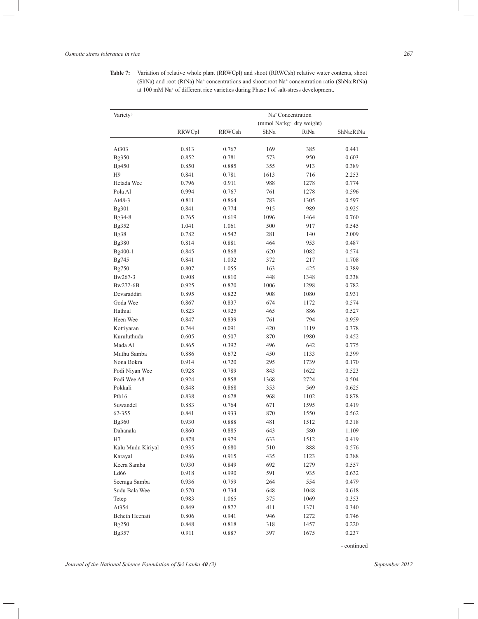**Table 7:** Variation of relative whole plant (RRWCpl) and shoot (RRWCsh) relative water contents, shoot (ShNa) and root (RtNa) Na<sup>+</sup> concentrations and shoot:root Na<sup>+</sup> concentration ratio (ShNa:RtNa) at 100 mM Na<sup>+</sup> of different rice varieties during Phase I of salt-stress development.

| Variety†          |        |        |      | Na <sup>+</sup> Concentration                      |             |
|-------------------|--------|--------|------|----------------------------------------------------|-------------|
|                   |        |        |      | (mmol Na <sup>+</sup> kg <sup>-1</sup> dry weight) |             |
|                   | RRWCpl | RRWCsh | ShNa | RtNa                                               | ShNa:RtNa   |
| At303             | 0.813  | 0.767  | 169  | 385                                                | 0.441       |
| Bg350             | 0.852  | 0.781  | 573  | 950                                                | 0.603       |
| Bg450             | 0.850  | 0.885  | 355  | 913                                                | 0.389       |
| H <sub>9</sub>    | 0.841  | 0.781  | 1613 | 716                                                | 2.253       |
| Hetada Wee        | 0.796  | 0.911  | 988  | 1278                                               | 0.774       |
| Pola Al           | 0.994  | 0.767  | 761  | 1278                                               | 0.596       |
| At48-3            | 0.811  | 0.864  | 783  | 1305                                               | 0.597       |
| Bg301             | 0.841  | 0.774  | 915  | 989                                                | 0.925       |
| Bg34-8            | 0.765  | 0.619  | 1096 | 1464                                               | 0.760       |
| Bg352             | 1.041  | 1.061  | 500  | 917                                                | 0.545       |
| Bg38              | 0.782  | 0.542  | 281  | 140                                                | 2.009       |
| Bg380             | 0.814  | 0.881  | 464  | 953                                                | 0.487       |
| Bg400-1           | 0.845  | 0.868  | 620  | 1082                                               | 0.574       |
| Bg745             | 0.841  | 1.032  | 372  | 217                                                | 1.708       |
| Bg750             | 0.807  | 1.055  | 163  | 425                                                | 0.389       |
| Bw267-3           | 0.908  | 0.810  | 448  | 1348                                               | 0.338       |
| Bw272-6B          | 0.925  | 0.870  | 1006 | 1298                                               | 0.782       |
| Devaraddiri       | 0.895  | 0.822  | 908  | 1080                                               | 0.931       |
| Goda Wee          | 0.867  | 0.837  | 674  | 1172                                               | 0.574       |
| Hathial           | 0.823  | 0.925  | 465  | 886                                                | 0.527       |
| Heen Wee          | 0.847  | 0.839  | 761  | 794                                                | 0.959       |
| Kottiyaran        | 0.744  | 0.091  | 420  | 1119                                               | 0.378       |
| Kuruluthuda       | 0.605  | 0.507  | 870  | 1980                                               | 0.452       |
| Mada Al           | 0.865  | 0.392  | 496  | 642                                                | 0.775       |
| Muthu Samba       | 0.886  | 0.672  | 450  | 1133                                               | 0.399       |
| Nona Bokra        | 0.914  | 0.720  | 295  | 1739                                               | 0.170       |
| Podi Niyan Wee    | 0.928  | 0.789  | 843  | 1622                                               | 0.523       |
| Podi Wee A8       | 0.924  | 0.858  | 1368 | 2724                                               | 0.504       |
| Pokkali           | 0.848  | 0.868  | 353  | 569                                                | 0.625       |
| Ptb16             | 0.838  | 0.678  | 968  | 1102                                               | 0.878       |
| Suwandel          | 0.883  | 0.764  | 671  | 1595                                               | 0.419       |
| 62-355            | 0.841  | 0.933  | 870  | 1550                                               | 0.562       |
| Bg360             | 0.930  | 0.888  | 481  | 1512                                               | 0.318       |
| Dahanala          | 0.860  | 0.885  | 643  | 580                                                | 1.109       |
| H7                | 0.878  | 0.979  | 633  | 1512                                               | 0.419       |
| Kalu Mudu Kiriyal | 0.935  | 0.680  | 510  | 888                                                | 0.576       |
| Karayal           | 0.986  | 0.915  | 435  | 1123                                               | 0.388       |
| Keera Samba       | 0.930  | 0.849  | 692  | 1279                                               | 0.557       |
| Ld66              | 0.918  | 0.990  | 591  | 935                                                | 0.632       |
| Seeraga Samba     | 0.936  | 0.759  | 264  | 554                                                | 0.479       |
| Sudu Bala Wee     | 0.570  | 0.734  | 648  | 1048                                               | 0.618       |
| Tetep             | 0.983  | 1.065  | 375  | 1069                                               | 0.353       |
| At354             | 0.849  | 0.872  | 411  | 1371                                               | 0.340       |
| Beheth Heenati    | 0.806  | 0.941  | 946  | 1272                                               | 0.746       |
| Bg250             | 0.848  | 0.818  | 318  | 1457                                               | 0.220       |
| Bg357             | 0.911  | 0.887  | 397  | 1675                                               | 0.237       |
|                   |        |        |      |                                                    | - continued |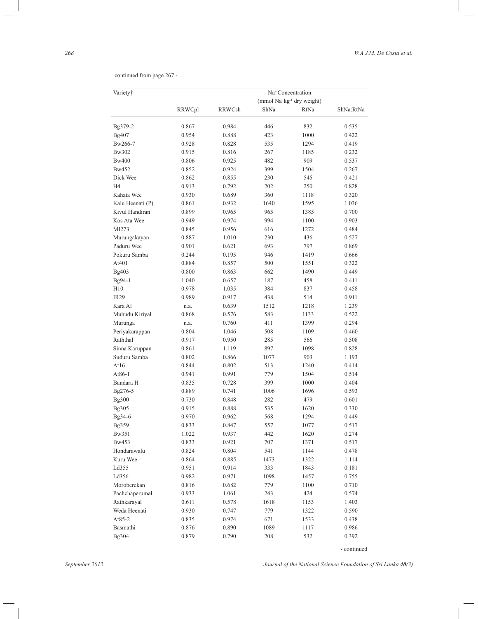continued from page 267 -

| Variety†         | Na <sup>+</sup> Concentration |        |      |                                                    |             |  |
|------------------|-------------------------------|--------|------|----------------------------------------------------|-------------|--|
|                  |                               |        |      | (mmol Na <sup>+</sup> kg <sup>-1</sup> dry weight) |             |  |
|                  | RRWCpl                        | RRWCsh | ShNa | RtNa                                               | ShNa:RtNa   |  |
| Bg379-2          | 0.867                         | 0.984  | 446  | 832                                                | 0.535       |  |
| Bg407            | 0.954                         | 0.888  | 423  | 1000                                               | 0.422       |  |
| Bw266-7          | 0.928                         | 0.828  | 535  | 1294                                               | 0.419       |  |
| Bw302            | 0.915                         | 0.816  | 267  | 1185                                               | 0.232       |  |
| Bw400            | 0.806                         | 0.925  | 482  | 909                                                | 0.537       |  |
| Bw452            | 0.852                         | 0.924  | 399  | 1504                                               | 0.267       |  |
| Dick Wee         | 0.862                         | 0.855  | 230  | 545                                                | 0.421       |  |
| H4               | 0.913                         | 0.792  | 202  | 250                                                | 0.828       |  |
| Kahata Wee       | 0.930                         | 0.689  | 360  | 1118                                               | 0.320       |  |
| Kalu Heenati (P) | 0.861                         | 0.932  | 1640 | 1595                                               | 1.036       |  |
| Kivul Handiran   | 0.899                         | 0.965  | 965  | 1385                                               | 0.700       |  |
| Kos Ata Wee      | 0.949                         | 0.974  | 994  | 1100                                               | 0.903       |  |
| MI273            | 0.845                         | 0.956  | 616  | 1272                                               | 0.484       |  |
| Murungakayan     | 0.887                         | 1.010  | 230  | 436                                                | 0.527       |  |
| Paduru Wee       | 0.901                         | 0.621  | 693  | 797                                                | 0.869       |  |
| Pokuru Samba     | 0.244                         | 0.195  | 946  | 1419                                               | 0.666       |  |
| At401            | 0.884                         | 0.857  | 500  | 1551                                               | 0.322       |  |
| Bg403            | 0.800                         | 0.863  | 662  | 1490                                               | 0.449       |  |
| Bg94-1           | 1.040                         | 0.657  | 187  | 458                                                | 0.411       |  |
| H10              | 0.978                         | 1.035  | 384  | 837                                                | 0.458       |  |
| <b>IR29</b>      | 0.989                         | 0.917  | 438  | 514                                                | 0.911       |  |
| Kara Al          | n.a.                          | 0.639  | 1512 | 1218                                               | 1.239       |  |
| Muhudu Kiriyal   | 0.868                         | 0.576  | 583  | 1133                                               | 0.522       |  |
| Murunga          | n.a.                          | 0.760  | 411  | 1399                                               | 0.294       |  |
| Periyakarappan   | 0.804                         | 1.046  | 508  | 1109                                               | 0.460       |  |
| Raththal         | 0.917                         | 0.950  | 285  | 566                                                | 0.508       |  |
| Sinna Karuppan   | 0.861                         | 1.119  | 897  | 1098                                               | 0.828       |  |
| Suduru Samba     | 0.802                         | 0.866  | 1077 | 903                                                | 1.193       |  |
| At16             | 0.844                         | 0.802  | 513  | 1240                                               | 0.414       |  |
| At86-1           | 0.941                         | 0.991  | 779  | 1504                                               | 0.514       |  |
| Bandara H        | 0.835                         | 0.728  | 399  | 1000                                               | 0.404       |  |
| Bg276-5          | 0.889                         | 0.741  | 1006 | 1696                                               | 0.593       |  |
| Bg300            | 0.730                         | 0.848  | 282  | 479                                                | 0.601       |  |
| Bg305            | 0.915                         | 0.888  | 535  | 1620                                               | 0.330       |  |
| Bg34-6           | 0.970                         | 0.962  | 568  | 1294                                               | 0.449       |  |
| Bg359            | 0.833                         | 0.847  | 557  | 1077                                               | 0.517       |  |
| Bw351            | 1.022                         | 0.937  | 442  | 1620                                               | 0.274       |  |
| Bw453            | 0.833                         | 0.921  | 707  | 1371                                               | 0.517       |  |
| Hondarawalu      | 0.824                         | 0.804  | 541  | 1144                                               | 0.478       |  |
| Kuru Wee         | 0.864                         | 0.885  | 1473 | 1322                                               | 1.114       |  |
| Ld355            | 0.951                         | 0.914  | 333  | 1843                                               | 0.181       |  |
| Ld356            | 0.982                         | 0.971  | 1098 | 1457                                               | 0.755       |  |
| Moroberekan      | 0.816                         | 0.682  | 779  | 1100                                               | 0.710       |  |
| Pachchaperumal   | 0.933                         | 1.061  | 243  | 424                                                | 0.574       |  |
| Rathkarayal      | 0.611                         | 0.578  | 1618 | 1153                                               | 1.403       |  |
| Weda Heenati     | 0.930                         | 0.747  | 779  | 1322                                               | 0.590       |  |
| At85-2           | 0.835                         | 0.974  | 671  | 1533                                               | 0.438       |  |
| Basmathi         | 0.876                         | 0.890  | 1089 | 1117                                               | 0.986       |  |
| Bg304            | 0.879                         | 0.790  | 208  | 532                                                | 0.392       |  |
|                  |                               |        |      |                                                    | - continued |  |

 $\overline{\phantom{0}}$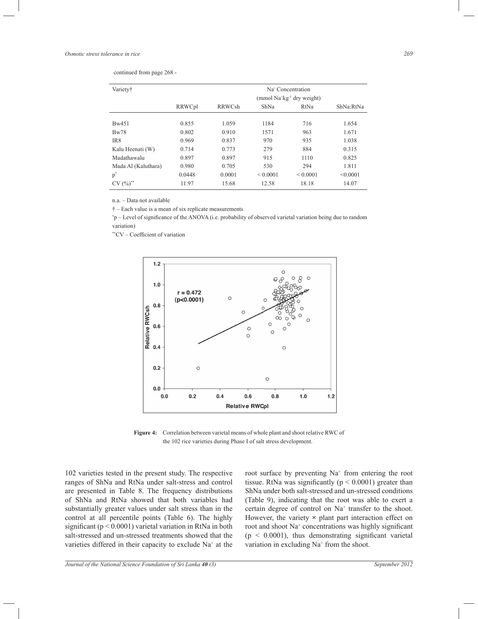| continued from page 268 - |  |  |  |  |
|---------------------------|--|--|--|--|
|---------------------------|--|--|--|--|

| Variety†            |        |               |               | Na <sup>+</sup> Concentration<br>(mmol Na <sup>+</sup> kg <sup>-1</sup> dry weight) |           |
|---------------------|--------|---------------|---------------|-------------------------------------------------------------------------------------|-----------|
|                     | RRWCpl | <b>RRWCsh</b> | ShNa          | RtNa                                                                                | ShNa:RtNa |
| Bw451               | 0.855  | 1.059         | 1184          | 716                                                                                 | 1.654     |
| Bw78                | 0.802  | 0.910         | 1571          | 963                                                                                 | 1.671     |
| IR8                 | 0.969  | 0.837         | 970           | 935                                                                                 | 1.038     |
| Kalu Heenati (W)    | 0.714  | 0.773         | 279           | 884                                                                                 | 0.315     |
| Madathawalu         | 0.897  | 0.897         | 915           | 1110                                                                                | 0.825     |
| Mada Al (Kaluthara) | 0.980  | 0.705         | 530           | 294                                                                                 | 1.811     |
| $p^*$               | 0.0448 | 0.0001        | ${}_{0.0001}$ | ${}_{0.001}$                                                                        | < 0.0001  |
| $CV(%)^{**}$        | 11.97  | 15.68         | 12.58         | 18.18                                                                               | 14.07     |

n.a. – Data not available

† – Each value is a mean of six replicate measurements

\*p – Level of significance of the ANOVA (i.e. probability of observed varietal variation being due to random variation)

\*\*CV – Coefficient of variation



**Figure 4:** Correlation between varietal means of whole plant and shoot relative RWC of the 102 rice varieties during Phase I of salt stress development.

102 varieties tested in the present study. The respective ranges of ShNa and RtNa under salt-stress and control are presented in Table 8. The frequency distributions of ShNa and RtNa showed that both variables had substantially greater values under salt stress than in the control at all percentile points (Table 6). The highly significant ( $p < 0.0001$ ) varietal variation in RtNa in both salt-stressed and un-stressed treatments showed that the varieties differed in their capacity to exclude Na<sup>+</sup> at the

root surface by preventing Na<sup>+</sup> from entering the root tissue. RtNa was significantly ( $p < 0.0001$ ) greater than ShNa under both salt-stressed and un-stressed conditions (Table 9), indicating that the root was able to exert a certain degree of control on Na<sup>+</sup> transfer to the shoot. However, the variety **×** plant part interaction effect on root and shoot Na<sup>+</sup> concentrations was highly significant  $(p < 0.0001)$ , thus demonstrating significant varietal variation in excluding  $Na<sup>+</sup>$  from the shoot.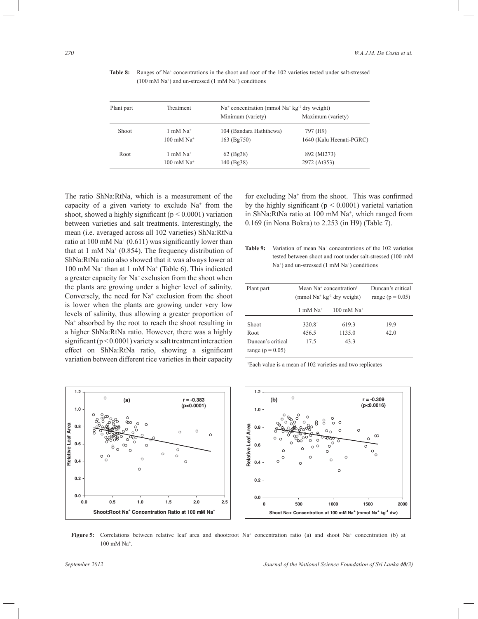| Plant part | Treatment                       |                         | $Na+ concentration (mmol Na+ kg-1 dry weight)$ |  |  |  |  |
|------------|---------------------------------|-------------------------|------------------------------------------------|--|--|--|--|
|            |                                 | Minimum (variety)       | Maximum (variety)                              |  |  |  |  |
| Shoot      | $1 \text{ mM }$ Na <sup>+</sup> | 104 (Bandara Haththewa) | 797 (H9)                                       |  |  |  |  |
|            | $100$ mM Na <sup>+</sup>        | 163 (Bg750)             | 1640 (Kalu Heenati-PGRC)                       |  |  |  |  |
| Root       | $1 \text{ mM }$ Na <sup>+</sup> | 62 (Bg38)               | 892 (MI273)                                    |  |  |  |  |
|            | $100$ mM Na <sup>+</sup>        | 140 (Bg38)              | 2972 (At 353)                                  |  |  |  |  |

Table 8: Ranges of Na<sup>+</sup> concentrations in the shoot and root of the 102 varieties tested under salt-stressed  $(100 \text{ mM } \text{Na}^+)$  and un-stressed  $(1 \text{ mM } \text{Na}^+)$  conditions

The ratio ShNa:RtNa, which is a measurement of the capacity of a given variety to exclude  $Na<sup>+</sup>$  from the shoot, showed a highly significant ( $p < 0.0001$ ) variation between varieties and salt treatments. Interestingly, the mean (i.e. averaged across all 102 varieties) ShNa:RtNa ratio at 100 mM  $\text{Na}^+$  (0.611) was significantly lower than that at 1 mM  $Na<sup>+</sup>$  (0.854). The frequency distribution of ShNa:RtNa ratio also showed that it was always lower at 100 mM Na<sup>+</sup> than at 1 mM Na<sup>+</sup> (Table 6). This indicated a greater capacity for Na<sup>+</sup> exclusion from the shoot when the plants are growing under a higher level of salinity. Conversely, the need for Na<sup>+</sup> exclusion from the shoot is lower when the plants are growing under very low levels of salinity, thus allowing a greater proportion of Na<sup>+</sup> absorbed by the root to reach the shoot resulting in a higher ShNa:RtNa ratio. However, there was a highly significant (p < 0.0001) variety **×** salt treatment interaction effect on ShNa:RtNa ratio, showing a significant variation between different rice varieties in their capacity

for excluding Na<sup>+</sup> from the shoot. This was confirmed by the highly significant ( $p < 0.0001$ ) varietal variation in ShNa:RtNa ratio at 100 mM Na<sup>+</sup>, which ranged from 0.169 (in Nona Bokra) to 2.253 (in H9) (Table 7).

Table 9: Variation of mean Na<sup>+</sup> concentrations of the 102 varieties tested between shoot and root under salt-stressed (100 mM Na<sup>+</sup>) and un-stressed (1 mM Na<sup>+</sup>) conditions

| Plant part           | Mean Na <sup>+</sup> concentration <sup>†</sup><br>(mmol $Na+ kg-1$ dry weight) | Duncan's critical<br>range ( $p = 0.05$ ) |      |
|----------------------|---------------------------------------------------------------------------------|-------------------------------------------|------|
|                      | $1 \text{ mM Na}^+$                                                             | $100 \text{ mM Na}^+$                     |      |
| Shoot                | $320.8^{\dagger}$                                                               | 619.3                                     | 19.9 |
| Root                 | 456.5                                                                           | 1135.0                                    | 42.0 |
| Duncan's critical    | 17.5                                                                            | 43.3                                      |      |
| range ( $p = 0.05$ ) |                                                                                 |                                           |      |

†Each value is a mean of 102 varieties and two replicates



**Figure 5:** Correlations between relative leaf area and shoot:root Na<sup>+</sup> concentration ratio (a) and shoot Na<sup>+</sup> concentration (b) at 100 mM Na<sup>+</sup> .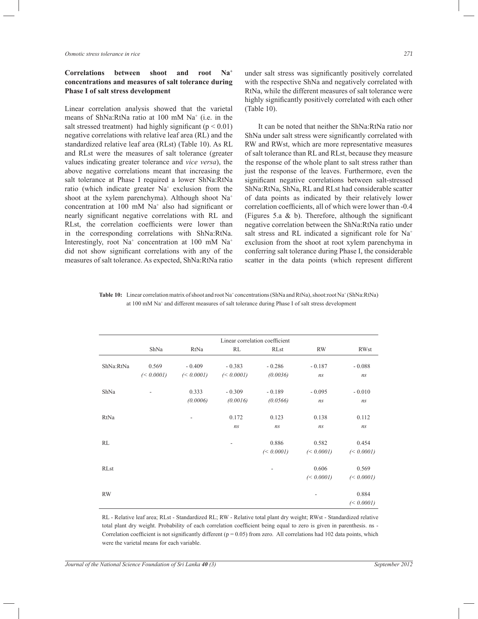*Osmotic stress tolerance in rice 271*

### **Correlations between shoot and root Na<sup>+</sup> concentrations and measures of salt tolerance during Phase I of salt stress development**

Linear correlation analysis showed that the varietal means of ShNa:RtNa ratio at 100 mM Na<sup>+</sup> (i.e. in the salt stressed treatment) had highly significant ( $p < 0.01$ ) negative correlations with relative leaf area (RL) and the standardized relative leaf area (RLst) (Table 10). As RL and RLst were the measures of salt tolerance (greater values indicating greater tolerance and *vice versa*), the above negative correlations meant that increasing the salt tolerance at Phase I required a lower ShNa:RtNa ratio (which indicate greater Na<sup>+</sup> exclusion from the shoot at the xylem parenchyma). Although shoot Na<sup>+</sup> concentration at 100 mM Na<sup>+</sup> also had significant or nearly significant negative correlations with RL and RLst, the correlation coefficients were lower than in the corresponding correlations with ShNa:RtNa. Interestingly, root  $Na^+$  concentration at 100 mM  $Na^+$ did not show significant correlations with any of the measures of salt tolerance. As expected, ShNa:RtNa ratio

under salt stress was significantly positively correlated with the respective ShNa and negatively correlated with RtNa, while the different measures of salt tolerance were highly significantly positively correlated with each other (Table 10).

It can be noted that neither the ShNa:RtNa ratio nor ShNa under salt stress were significantly correlated with RW and RWst, which are more representative measures of salt tolerance than RL and RLst, because they measure the response of the whole plant to salt stress rather than just the response of the leaves. Furthermore, even the significant negative correlations between salt-stressed ShNa:RtNa, ShNa, RL and RLst had considerable scatter of data points as indicated by their relatively lower correlation coefficients, all of which were lower than -0.4 (Figures 5.a & b). Therefore, although the significant negative correlation between the ShNa:RtNa ratio under salt stress and RL indicated a significant role for Na<sup>+</sup> exclusion from the shoot at root xylem parenchyma in conferring salt tolerance during Phase I, the considerable scatter in the data points (which represent different

Table 10: Linear correlation matrix of shoot and root Na<sup>+</sup> concentrations (ShNa and RtNa), shoot:root Na<sup>+</sup> (ShNa:RtNa) at 100 mM Na<sup>+</sup> and different measures of salt tolerance during Phase I of salt stress development

|           | Linear correlation coefficient |            |            |             |            |             |  |  |  |
|-----------|--------------------------------|------------|------------|-------------|------------|-------------|--|--|--|
|           | ShNa                           | RtNa       | RL         | <b>RLst</b> | <b>RW</b>  | <b>RWst</b> |  |  |  |
| ShNa:RtNa | 0.569                          | $-0.409$   | $-0.383$   | $-0.286$    | $-0.187$   | $-0.088$    |  |  |  |
|           | $(0.0001)$                     | $(0.0001)$ | $(0.0001)$ | (0.0036)    | ns         | ns          |  |  |  |
| ShNa      |                                | 0.333      | $-0.309$   | $-0.189$    | $-0.095$   | $-0.010$    |  |  |  |
|           |                                | (0.0006)   | (0.0016)   | (0.0566)    | ns         | ns          |  |  |  |
| RtNa      |                                |            | 0.172      | 0.123       | 0.138      | 0.112       |  |  |  |
|           |                                |            | ns         | ns          | ns         | ns          |  |  |  |
| RL        |                                |            |            | 0.886       | 0.582      | 0.454       |  |  |  |
|           |                                |            |            | $(0.0001)$  | $(0.0001)$ | $(0.0001)$  |  |  |  |
| RLst      |                                |            |            |             | 0.606      | 0.569       |  |  |  |
|           |                                |            |            |             | $(0.0001)$ | (< 0.0001)  |  |  |  |
| <b>RW</b> |                                |            |            |             |            | 0.884       |  |  |  |
|           |                                |            |            |             |            | $(0.0001)$  |  |  |  |

RL - Relative leaf area; RLst - Standardized RL; RW - Relative total plant dry weight; RWst - Standardized relative total plant dry weight. Probability of each correlation coefficient being equal to zero is given in parenthesis. ns - Correlation coefficient is not significantly different  $(p = 0.05)$  from zero. All correlations had 102 data points, which were the varietal means for each variable.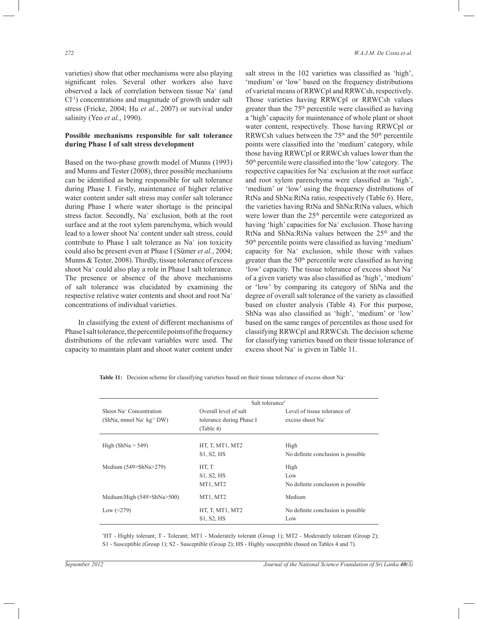varieties) show that other mechanisms were also playing significant roles. Several other workers also have observed a lack of correlation between tissue Na<sup>+</sup> (and Cl-1) concentrations and magnitude of growth under salt stress (Fricke, 2004; Hu *et al.*, 2007) or survival under salinity (Yeo *et al.*, 1990).

### **Possible mechanisms responsible for salt tolerance during Phase I of salt stress development**

Based on the two-phase growth model of Munns (1993) and Munns and Tester (2008), three possible mechanisms can be identified as being responsible for salt tolerance during Phase I. Firstly, maintenance of higher relative water content under salt stress may confer salt tolerance during Phase I where water shortage is the principal stress factor. Secondly, Na<sup>+</sup> exclusion, both at the root surface and at the root xylem parenchyma, which would lead to a lower shoot Na<sup>+</sup> content under salt stress, could contribute to Phase I salt tolerance as  $Na<sup>+</sup>$  ion toxicity could also be present even at Phase I (Sümer *et al.*, 2004; Munns & Tester, 2008). Thirdly, tissue tolerance of excess shoot Na<sup>+</sup> could also play a role in Phase I salt tolerance. The presence or absence of the above mechanisms of salt tolerance was elucidated by examining the respective relative water contents and shoot and root Na<sup>+</sup> concentrations of individual varieties.

In classifying the extent of different mechanisms of Phase I salt tolerance, the percentile points of the frequency distributions of the relevant variables were used. The capacity to maintain plant and shoot water content under salt stress in the 102 varieties was classified as 'high', 'medium' or 'low' based on the frequency distributions of varietal means of RRWCpl and RRWCsh, respectively. Those varieties having RRWCpl or RRWCsh values greater than the 75th percentile were classified as having a 'high' capacity for maintenance of whole plant or shoot water content, respectively. Those having RRWCpl or RRWCsh values between the  $75<sup>th</sup>$  and the  $50<sup>th</sup>$  percentile points were classified into the 'medium' category, while those having RRWCpl or RRWCsh values lower than the 50th percentile were classified into the 'low' category. The respective capacities for Na<sup>+</sup> exclusion at the root surface and root xylem parenchyma were classified as 'high', 'medium' or 'low' using the frequency distributions of RtNa and ShNa:RtNa ratio, respectively (Table 6). Here, the varieties having RtNa and ShNa:RtNa values, which were lower than the 25<sup>th</sup> percentile were categorized as having 'high' capacities for Na<sup>+</sup> exclusion. Those having RtNa and ShNa:RtNa values between the  $25<sup>th</sup>$  and the 50th percentile points were classified as having 'medium' capacity for Na<sup>+</sup> exclusion, while those with values greater than the 50<sup>th</sup> percentile were classified as having 'low' capacity. The tissue tolerance of excess shoot Na<sup>+</sup> of a given variety was also classified as 'high', 'medium' or 'low' by comparing its category of ShNa and the degree of overall salt tolerance of the variety as classified based on cluster analysis (Table 4). For this purpose, ShNa was also classified as 'high', 'medium' or 'low' based on the same ranges of percentiles as those used for classifying RRWCpl and RRWCsh. The decision scheme for classifying varieties based on their tissue tolerance of excess shoot Na<sup>+</sup> is given in Table 11.

Table 11: Decision scheme for classifying varieties based on their tissue tolerance of excess shoot Na<sup>+</sup>

|                                                                   | Salt tolerance <sup>†</sup>                                    |                                                    |  |  |
|-------------------------------------------------------------------|----------------------------------------------------------------|----------------------------------------------------|--|--|
| Shoot Na <sup>+</sup> Concentration<br>$(ShNa, mmol Na+ kg-1 DW)$ | Overall level of salt<br>tolerance during Phase I<br>(Table 4) | Level of tissue tolerance of<br>excess shoot $Na+$ |  |  |
| High $(ShNa > 549)$                                               | HT, T, MT1, MT2<br>S1, S2, HS                                  | High<br>No definite conclusion is possible.        |  |  |
| Medium $(549>ShNa>279)$                                           | HT, T<br>S1, S2, HS<br>MT1, MT2                                | High<br>Low<br>No definite conclusion is possible. |  |  |
| Medium/High (549>ShNa>500)                                        | MT1, MT2                                                       | Medium                                             |  |  |
| Low $(<279)$                                                      | HT, T, MT1, MT2<br>S1, S2, HS                                  | No definite conclusion is possible.<br>Low         |  |  |

†HT - Highly tolerant; T - Tolerant; MT1 - Moderately tolerant (Group 1); MT2 - Moderately tolerant (Group 2); S1 - Susceptible (Group 1); S2 - Susceptible (Group 2); HS - Highly susceptible (based on Tables 4 and 7).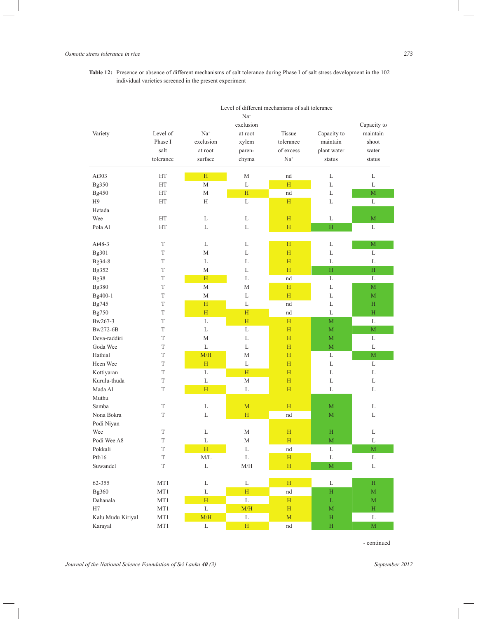**Table 12:** Presence or absence of different mechanisms of salt tolerance during Phase I of salt stress development in the 102 individual varieties screened in the present experiment

| exclusion<br>Capacity to<br>Level of<br>$Na+$<br>Tissue<br>Capacity to<br>maintain<br>Variety<br>at root<br>Phase I<br>exclusion<br>tolerance<br>maintain<br>shoot<br>xylem<br>salt<br>of excess<br>plant water<br>at root<br>paren-<br>water<br>tolerance<br>surface<br>$Na+$<br>chyma<br>status<br>status<br>At303<br><b>HT</b><br>H<br>М<br>nd<br>L<br>L<br>$\mathbf L$<br>M<br>H<br>L<br>Bg350<br>НT<br>L<br>H<br>M<br>Bg450<br>НT<br>М<br>nd<br>L<br>L<br>H <sub>9</sub><br>НT<br>Н<br>H<br>L<br>L<br>Hetada<br>Wee<br>HT<br>L<br>L<br>H<br>L<br>M<br>L<br>H<br>H<br>Pola Al<br>HT<br>L<br>L<br>At48-3<br>T<br>L<br>L<br>M<br>Η<br>L<br>T<br>H<br>Bg301<br>М<br>L<br>L<br>L<br>Bg34-8<br>T<br>L<br>L<br>H<br>L<br>L<br>Bg352<br>T<br>M<br>L<br>H<br>H<br>H<br>T<br>H<br>L<br>L<br>L<br>Bg38<br>nd<br>T<br>М<br>H<br>M<br>Bg380<br>М<br>L<br>T<br>М<br>H<br>Bg400-1<br>L<br>L<br>M<br>Bg745<br>T<br>H<br>L<br>H<br>nd<br>L<br>T<br>H<br>L<br>H<br>nd<br>$\rm H$<br>Bg750<br>L<br>H<br>$\overline{M}$<br>Bw267-3<br>T<br>H<br>L<br>$\mathbf M$<br>Bw272-6B<br>T<br>L<br>L<br>H<br>M<br>T<br>L<br>Deva-raddiri<br>M<br>L<br>H<br>M<br>$\overline{M}$<br>Goda Wee<br>T<br>L<br>L<br>H<br>L<br>Hathial<br>T<br>M/H<br>H<br>L<br>$\mathbf M$<br>М<br>Heen Wee<br>T<br>H<br>L<br>L<br>L<br>H<br>T<br>L<br>H<br>H<br>L<br>Kottiyaran<br>L<br>Kurulu-thuda<br>T<br>L<br>M<br>H<br>L<br>L<br>Mada Al<br>H<br>L<br>H<br>T<br>L<br>L<br>Muthu<br>$\mathcal T$<br>L<br>H<br>M<br>Samba<br>M<br>L<br>T<br>H<br>Nona Bokra<br>L<br>nd<br>M<br>L<br>Podi Niyan<br>T<br>L<br>M<br>H<br>H<br>Wee<br>L<br>Podi Wee A8<br>T<br>L<br>H<br>$\mathbf M$<br>L<br>М<br>T<br>H<br>L<br>M<br>Pokkali<br>L<br>nd<br>Ptb16<br>$\mathbf L$<br>$\mathcal T$<br>M/L<br>$\mathbf H$<br>$\mathbf{L}$<br>$\mathbf L$<br>$\mathbf L$<br>$\overline{\mathbf{M}}$<br>Suwandel<br>$\mathcal T$<br>$\ensuremath{\mathrm{M}}/\ensuremath{\mathrm{H}}$<br>$\mathbf H$<br>$\mathbf L$<br>$\mathbf L$<br>$\mathbf H$<br>62-355<br>MT1<br>$\mathbf{L}$<br>H<br>$\mathbf L$<br>Bg360<br>MT1<br>$\mathbf L$<br>$\mathbf H$<br>$\overline{M}$<br>nd<br>$\mathbf H$<br>$\mathbf L$<br>Dahanala<br>MT1<br>$\mathbf{H}$<br>$\mathbf L$<br>H<br>$\mathbf M$<br>$\mathbf L$<br>H7<br>M/H<br>MT1<br>H<br>$\mathbf M$<br>$\mathbf H$ |                   | Level of different mechanisms of salt tolerance |     |             |             |              |   |  |
|------------------------------------------------------------------------------------------------------------------------------------------------------------------------------------------------------------------------------------------------------------------------------------------------------------------------------------------------------------------------------------------------------------------------------------------------------------------------------------------------------------------------------------------------------------------------------------------------------------------------------------------------------------------------------------------------------------------------------------------------------------------------------------------------------------------------------------------------------------------------------------------------------------------------------------------------------------------------------------------------------------------------------------------------------------------------------------------------------------------------------------------------------------------------------------------------------------------------------------------------------------------------------------------------------------------------------------------------------------------------------------------------------------------------------------------------------------------------------------------------------------------------------------------------------------------------------------------------------------------------------------------------------------------------------------------------------------------------------------------------------------------------------------------------------------------------------------------------------------------------------------------------------------------------------------------------------------------------------------------------------------------------------------------------------------------------------------------------------------------------------------------------------------------------------------------------------------------------------------------------------------------------------------|-------------------|-------------------------------------------------|-----|-------------|-------------|--------------|---|--|
|                                                                                                                                                                                                                                                                                                                                                                                                                                                                                                                                                                                                                                                                                                                                                                                                                                                                                                                                                                                                                                                                                                                                                                                                                                                                                                                                                                                                                                                                                                                                                                                                                                                                                                                                                                                                                                                                                                                                                                                                                                                                                                                                                                                                                                                                                    |                   |                                                 |     | $Na+$       |             |              |   |  |
|                                                                                                                                                                                                                                                                                                                                                                                                                                                                                                                                                                                                                                                                                                                                                                                                                                                                                                                                                                                                                                                                                                                                                                                                                                                                                                                                                                                                                                                                                                                                                                                                                                                                                                                                                                                                                                                                                                                                                                                                                                                                                                                                                                                                                                                                                    |                   |                                                 |     |             |             |              |   |  |
|                                                                                                                                                                                                                                                                                                                                                                                                                                                                                                                                                                                                                                                                                                                                                                                                                                                                                                                                                                                                                                                                                                                                                                                                                                                                                                                                                                                                                                                                                                                                                                                                                                                                                                                                                                                                                                                                                                                                                                                                                                                                                                                                                                                                                                                                                    |                   |                                                 |     |             |             |              |   |  |
|                                                                                                                                                                                                                                                                                                                                                                                                                                                                                                                                                                                                                                                                                                                                                                                                                                                                                                                                                                                                                                                                                                                                                                                                                                                                                                                                                                                                                                                                                                                                                                                                                                                                                                                                                                                                                                                                                                                                                                                                                                                                                                                                                                                                                                                                                    |                   |                                                 |     |             |             |              |   |  |
|                                                                                                                                                                                                                                                                                                                                                                                                                                                                                                                                                                                                                                                                                                                                                                                                                                                                                                                                                                                                                                                                                                                                                                                                                                                                                                                                                                                                                                                                                                                                                                                                                                                                                                                                                                                                                                                                                                                                                                                                                                                                                                                                                                                                                                                                                    |                   |                                                 |     |             |             |              |   |  |
|                                                                                                                                                                                                                                                                                                                                                                                                                                                                                                                                                                                                                                                                                                                                                                                                                                                                                                                                                                                                                                                                                                                                                                                                                                                                                                                                                                                                                                                                                                                                                                                                                                                                                                                                                                                                                                                                                                                                                                                                                                                                                                                                                                                                                                                                                    |                   |                                                 |     |             |             |              |   |  |
|                                                                                                                                                                                                                                                                                                                                                                                                                                                                                                                                                                                                                                                                                                                                                                                                                                                                                                                                                                                                                                                                                                                                                                                                                                                                                                                                                                                                                                                                                                                                                                                                                                                                                                                                                                                                                                                                                                                                                                                                                                                                                                                                                                                                                                                                                    |                   |                                                 |     |             |             |              |   |  |
|                                                                                                                                                                                                                                                                                                                                                                                                                                                                                                                                                                                                                                                                                                                                                                                                                                                                                                                                                                                                                                                                                                                                                                                                                                                                                                                                                                                                                                                                                                                                                                                                                                                                                                                                                                                                                                                                                                                                                                                                                                                                                                                                                                                                                                                                                    |                   |                                                 |     |             |             |              |   |  |
|                                                                                                                                                                                                                                                                                                                                                                                                                                                                                                                                                                                                                                                                                                                                                                                                                                                                                                                                                                                                                                                                                                                                                                                                                                                                                                                                                                                                                                                                                                                                                                                                                                                                                                                                                                                                                                                                                                                                                                                                                                                                                                                                                                                                                                                                                    |                   |                                                 |     |             |             |              |   |  |
|                                                                                                                                                                                                                                                                                                                                                                                                                                                                                                                                                                                                                                                                                                                                                                                                                                                                                                                                                                                                                                                                                                                                                                                                                                                                                                                                                                                                                                                                                                                                                                                                                                                                                                                                                                                                                                                                                                                                                                                                                                                                                                                                                                                                                                                                                    |                   |                                                 |     |             |             |              |   |  |
|                                                                                                                                                                                                                                                                                                                                                                                                                                                                                                                                                                                                                                                                                                                                                                                                                                                                                                                                                                                                                                                                                                                                                                                                                                                                                                                                                                                                                                                                                                                                                                                                                                                                                                                                                                                                                                                                                                                                                                                                                                                                                                                                                                                                                                                                                    |                   |                                                 |     |             |             |              |   |  |
|                                                                                                                                                                                                                                                                                                                                                                                                                                                                                                                                                                                                                                                                                                                                                                                                                                                                                                                                                                                                                                                                                                                                                                                                                                                                                                                                                                                                                                                                                                                                                                                                                                                                                                                                                                                                                                                                                                                                                                                                                                                                                                                                                                                                                                                                                    |                   |                                                 |     |             |             |              |   |  |
|                                                                                                                                                                                                                                                                                                                                                                                                                                                                                                                                                                                                                                                                                                                                                                                                                                                                                                                                                                                                                                                                                                                                                                                                                                                                                                                                                                                                                                                                                                                                                                                                                                                                                                                                                                                                                                                                                                                                                                                                                                                                                                                                                                                                                                                                                    |                   |                                                 |     |             |             |              |   |  |
|                                                                                                                                                                                                                                                                                                                                                                                                                                                                                                                                                                                                                                                                                                                                                                                                                                                                                                                                                                                                                                                                                                                                                                                                                                                                                                                                                                                                                                                                                                                                                                                                                                                                                                                                                                                                                                                                                                                                                                                                                                                                                                                                                                                                                                                                                    |                   |                                                 |     |             |             |              |   |  |
|                                                                                                                                                                                                                                                                                                                                                                                                                                                                                                                                                                                                                                                                                                                                                                                                                                                                                                                                                                                                                                                                                                                                                                                                                                                                                                                                                                                                                                                                                                                                                                                                                                                                                                                                                                                                                                                                                                                                                                                                                                                                                                                                                                                                                                                                                    |                   |                                                 |     |             |             |              |   |  |
|                                                                                                                                                                                                                                                                                                                                                                                                                                                                                                                                                                                                                                                                                                                                                                                                                                                                                                                                                                                                                                                                                                                                                                                                                                                                                                                                                                                                                                                                                                                                                                                                                                                                                                                                                                                                                                                                                                                                                                                                                                                                                                                                                                                                                                                                                    |                   |                                                 |     |             |             |              |   |  |
|                                                                                                                                                                                                                                                                                                                                                                                                                                                                                                                                                                                                                                                                                                                                                                                                                                                                                                                                                                                                                                                                                                                                                                                                                                                                                                                                                                                                                                                                                                                                                                                                                                                                                                                                                                                                                                                                                                                                                                                                                                                                                                                                                                                                                                                                                    |                   |                                                 |     |             |             |              |   |  |
|                                                                                                                                                                                                                                                                                                                                                                                                                                                                                                                                                                                                                                                                                                                                                                                                                                                                                                                                                                                                                                                                                                                                                                                                                                                                                                                                                                                                                                                                                                                                                                                                                                                                                                                                                                                                                                                                                                                                                                                                                                                                                                                                                                                                                                                                                    |                   |                                                 |     |             |             |              |   |  |
|                                                                                                                                                                                                                                                                                                                                                                                                                                                                                                                                                                                                                                                                                                                                                                                                                                                                                                                                                                                                                                                                                                                                                                                                                                                                                                                                                                                                                                                                                                                                                                                                                                                                                                                                                                                                                                                                                                                                                                                                                                                                                                                                                                                                                                                                                    |                   |                                                 |     |             |             |              |   |  |
|                                                                                                                                                                                                                                                                                                                                                                                                                                                                                                                                                                                                                                                                                                                                                                                                                                                                                                                                                                                                                                                                                                                                                                                                                                                                                                                                                                                                                                                                                                                                                                                                                                                                                                                                                                                                                                                                                                                                                                                                                                                                                                                                                                                                                                                                                    |                   |                                                 |     |             |             |              |   |  |
|                                                                                                                                                                                                                                                                                                                                                                                                                                                                                                                                                                                                                                                                                                                                                                                                                                                                                                                                                                                                                                                                                                                                                                                                                                                                                                                                                                                                                                                                                                                                                                                                                                                                                                                                                                                                                                                                                                                                                                                                                                                                                                                                                                                                                                                                                    |                   |                                                 |     |             |             |              |   |  |
|                                                                                                                                                                                                                                                                                                                                                                                                                                                                                                                                                                                                                                                                                                                                                                                                                                                                                                                                                                                                                                                                                                                                                                                                                                                                                                                                                                                                                                                                                                                                                                                                                                                                                                                                                                                                                                                                                                                                                                                                                                                                                                                                                                                                                                                                                    |                   |                                                 |     |             |             |              |   |  |
|                                                                                                                                                                                                                                                                                                                                                                                                                                                                                                                                                                                                                                                                                                                                                                                                                                                                                                                                                                                                                                                                                                                                                                                                                                                                                                                                                                                                                                                                                                                                                                                                                                                                                                                                                                                                                                                                                                                                                                                                                                                                                                                                                                                                                                                                                    |                   |                                                 |     |             |             |              |   |  |
|                                                                                                                                                                                                                                                                                                                                                                                                                                                                                                                                                                                                                                                                                                                                                                                                                                                                                                                                                                                                                                                                                                                                                                                                                                                                                                                                                                                                                                                                                                                                                                                                                                                                                                                                                                                                                                                                                                                                                                                                                                                                                                                                                                                                                                                                                    |                   |                                                 |     |             |             |              |   |  |
|                                                                                                                                                                                                                                                                                                                                                                                                                                                                                                                                                                                                                                                                                                                                                                                                                                                                                                                                                                                                                                                                                                                                                                                                                                                                                                                                                                                                                                                                                                                                                                                                                                                                                                                                                                                                                                                                                                                                                                                                                                                                                                                                                                                                                                                                                    |                   |                                                 |     |             |             |              |   |  |
|                                                                                                                                                                                                                                                                                                                                                                                                                                                                                                                                                                                                                                                                                                                                                                                                                                                                                                                                                                                                                                                                                                                                                                                                                                                                                                                                                                                                                                                                                                                                                                                                                                                                                                                                                                                                                                                                                                                                                                                                                                                                                                                                                                                                                                                                                    |                   |                                                 |     |             |             |              |   |  |
|                                                                                                                                                                                                                                                                                                                                                                                                                                                                                                                                                                                                                                                                                                                                                                                                                                                                                                                                                                                                                                                                                                                                                                                                                                                                                                                                                                                                                                                                                                                                                                                                                                                                                                                                                                                                                                                                                                                                                                                                                                                                                                                                                                                                                                                                                    |                   |                                                 |     |             |             |              |   |  |
|                                                                                                                                                                                                                                                                                                                                                                                                                                                                                                                                                                                                                                                                                                                                                                                                                                                                                                                                                                                                                                                                                                                                                                                                                                                                                                                                                                                                                                                                                                                                                                                                                                                                                                                                                                                                                                                                                                                                                                                                                                                                                                                                                                                                                                                                                    |                   |                                                 |     |             |             |              |   |  |
|                                                                                                                                                                                                                                                                                                                                                                                                                                                                                                                                                                                                                                                                                                                                                                                                                                                                                                                                                                                                                                                                                                                                                                                                                                                                                                                                                                                                                                                                                                                                                                                                                                                                                                                                                                                                                                                                                                                                                                                                                                                                                                                                                                                                                                                                                    |                   |                                                 |     |             |             |              |   |  |
|                                                                                                                                                                                                                                                                                                                                                                                                                                                                                                                                                                                                                                                                                                                                                                                                                                                                                                                                                                                                                                                                                                                                                                                                                                                                                                                                                                                                                                                                                                                                                                                                                                                                                                                                                                                                                                                                                                                                                                                                                                                                                                                                                                                                                                                                                    |                   |                                                 |     |             |             |              |   |  |
|                                                                                                                                                                                                                                                                                                                                                                                                                                                                                                                                                                                                                                                                                                                                                                                                                                                                                                                                                                                                                                                                                                                                                                                                                                                                                                                                                                                                                                                                                                                                                                                                                                                                                                                                                                                                                                                                                                                                                                                                                                                                                                                                                                                                                                                                                    |                   |                                                 |     |             |             |              |   |  |
|                                                                                                                                                                                                                                                                                                                                                                                                                                                                                                                                                                                                                                                                                                                                                                                                                                                                                                                                                                                                                                                                                                                                                                                                                                                                                                                                                                                                                                                                                                                                                                                                                                                                                                                                                                                                                                                                                                                                                                                                                                                                                                                                                                                                                                                                                    |                   |                                                 |     |             |             |              |   |  |
|                                                                                                                                                                                                                                                                                                                                                                                                                                                                                                                                                                                                                                                                                                                                                                                                                                                                                                                                                                                                                                                                                                                                                                                                                                                                                                                                                                                                                                                                                                                                                                                                                                                                                                                                                                                                                                                                                                                                                                                                                                                                                                                                                                                                                                                                                    |                   |                                                 |     |             |             |              |   |  |
|                                                                                                                                                                                                                                                                                                                                                                                                                                                                                                                                                                                                                                                                                                                                                                                                                                                                                                                                                                                                                                                                                                                                                                                                                                                                                                                                                                                                                                                                                                                                                                                                                                                                                                                                                                                                                                                                                                                                                                                                                                                                                                                                                                                                                                                                                    |                   |                                                 |     |             |             |              |   |  |
|                                                                                                                                                                                                                                                                                                                                                                                                                                                                                                                                                                                                                                                                                                                                                                                                                                                                                                                                                                                                                                                                                                                                                                                                                                                                                                                                                                                                                                                                                                                                                                                                                                                                                                                                                                                                                                                                                                                                                                                                                                                                                                                                                                                                                                                                                    |                   |                                                 |     |             |             |              |   |  |
|                                                                                                                                                                                                                                                                                                                                                                                                                                                                                                                                                                                                                                                                                                                                                                                                                                                                                                                                                                                                                                                                                                                                                                                                                                                                                                                                                                                                                                                                                                                                                                                                                                                                                                                                                                                                                                                                                                                                                                                                                                                                                                                                                                                                                                                                                    |                   |                                                 |     |             |             |              |   |  |
|                                                                                                                                                                                                                                                                                                                                                                                                                                                                                                                                                                                                                                                                                                                                                                                                                                                                                                                                                                                                                                                                                                                                                                                                                                                                                                                                                                                                                                                                                                                                                                                                                                                                                                                                                                                                                                                                                                                                                                                                                                                                                                                                                                                                                                                                                    |                   |                                                 |     |             |             |              |   |  |
|                                                                                                                                                                                                                                                                                                                                                                                                                                                                                                                                                                                                                                                                                                                                                                                                                                                                                                                                                                                                                                                                                                                                                                                                                                                                                                                                                                                                                                                                                                                                                                                                                                                                                                                                                                                                                                                                                                                                                                                                                                                                                                                                                                                                                                                                                    |                   |                                                 |     |             |             |              |   |  |
|                                                                                                                                                                                                                                                                                                                                                                                                                                                                                                                                                                                                                                                                                                                                                                                                                                                                                                                                                                                                                                                                                                                                                                                                                                                                                                                                                                                                                                                                                                                                                                                                                                                                                                                                                                                                                                                                                                                                                                                                                                                                                                                                                                                                                                                                                    |                   |                                                 |     |             |             |              |   |  |
|                                                                                                                                                                                                                                                                                                                                                                                                                                                                                                                                                                                                                                                                                                                                                                                                                                                                                                                                                                                                                                                                                                                                                                                                                                                                                                                                                                                                                                                                                                                                                                                                                                                                                                                                                                                                                                                                                                                                                                                                                                                                                                                                                                                                                                                                                    |                   |                                                 |     |             |             |              |   |  |
|                                                                                                                                                                                                                                                                                                                                                                                                                                                                                                                                                                                                                                                                                                                                                                                                                                                                                                                                                                                                                                                                                                                                                                                                                                                                                                                                                                                                                                                                                                                                                                                                                                                                                                                                                                                                                                                                                                                                                                                                                                                                                                                                                                                                                                                                                    |                   |                                                 |     |             |             |              |   |  |
|                                                                                                                                                                                                                                                                                                                                                                                                                                                                                                                                                                                                                                                                                                                                                                                                                                                                                                                                                                                                                                                                                                                                                                                                                                                                                                                                                                                                                                                                                                                                                                                                                                                                                                                                                                                                                                                                                                                                                                                                                                                                                                                                                                                                                                                                                    |                   |                                                 |     |             |             |              |   |  |
|                                                                                                                                                                                                                                                                                                                                                                                                                                                                                                                                                                                                                                                                                                                                                                                                                                                                                                                                                                                                                                                                                                                                                                                                                                                                                                                                                                                                                                                                                                                                                                                                                                                                                                                                                                                                                                                                                                                                                                                                                                                                                                                                                                                                                                                                                    |                   |                                                 |     |             |             |              |   |  |
|                                                                                                                                                                                                                                                                                                                                                                                                                                                                                                                                                                                                                                                                                                                                                                                                                                                                                                                                                                                                                                                                                                                                                                                                                                                                                                                                                                                                                                                                                                                                                                                                                                                                                                                                                                                                                                                                                                                                                                                                                                                                                                                                                                                                                                                                                    |                   |                                                 |     |             |             |              |   |  |
|                                                                                                                                                                                                                                                                                                                                                                                                                                                                                                                                                                                                                                                                                                                                                                                                                                                                                                                                                                                                                                                                                                                                                                                                                                                                                                                                                                                                                                                                                                                                                                                                                                                                                                                                                                                                                                                                                                                                                                                                                                                                                                                                                                                                                                                                                    |                   |                                                 |     |             |             |              |   |  |
|                                                                                                                                                                                                                                                                                                                                                                                                                                                                                                                                                                                                                                                                                                                                                                                                                                                                                                                                                                                                                                                                                                                                                                                                                                                                                                                                                                                                                                                                                                                                                                                                                                                                                                                                                                                                                                                                                                                                                                                                                                                                                                                                                                                                                                                                                    |                   |                                                 |     |             |             |              |   |  |
|                                                                                                                                                                                                                                                                                                                                                                                                                                                                                                                                                                                                                                                                                                                                                                                                                                                                                                                                                                                                                                                                                                                                                                                                                                                                                                                                                                                                                                                                                                                                                                                                                                                                                                                                                                                                                                                                                                                                                                                                                                                                                                                                                                                                                                                                                    | Kalu Mudu Kiriyal | MT1                                             | M/H | $\mathbf L$ | $\mathbf M$ | $\, {\rm H}$ | L |  |
| Karayal<br>MT1<br>$\mathbf L$<br>$\mathbf H$<br>$\mathbf M$<br>$\mathbf{H}$<br>nd                                                                                                                                                                                                                                                                                                                                                                                                                                                                                                                                                                                                                                                                                                                                                                                                                                                                                                                                                                                                                                                                                                                                                                                                                                                                                                                                                                                                                                                                                                                                                                                                                                                                                                                                                                                                                                                                                                                                                                                                                                                                                                                                                                                                  |                   |                                                 |     |             |             |              |   |  |

- continued

*Journal of the National Science Foundation of Sri Lanka 40 (3)* September 2012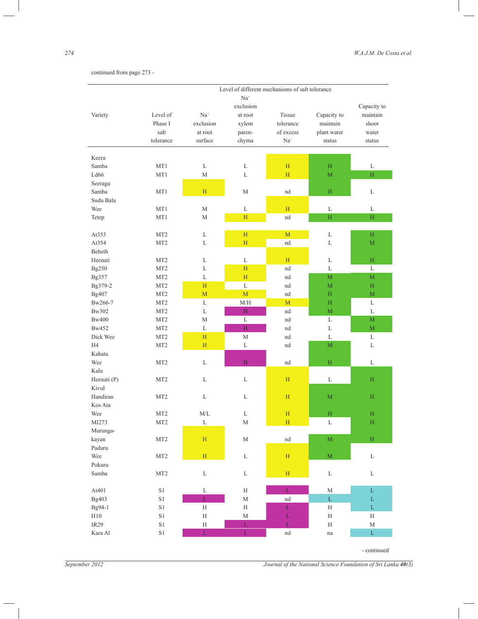continued from page 273 -

|                  | Level of different mechanisms of salt tolerance |               |                    |               |                         |                         |  |
|------------------|-------------------------------------------------|---------------|--------------------|---------------|-------------------------|-------------------------|--|
|                  |                                                 |               | $Na+$<br>exclusion |               |                         |                         |  |
| Variety          | Level of                                        | $Na+$         | at root            | Tissue        | Capacity to             | Capacity to<br>maintain |  |
|                  | Phase I                                         | exclusion     | xylem              | tolerance     | maintain                | shoot                   |  |
|                  | salt                                            | at root       | paren-             | of excess     | plant water             |                         |  |
|                  | tolerance                                       | surface       | chyma              | $Na+$         |                         | water<br>status         |  |
|                  |                                                 |               |                    |               | status                  |                         |  |
| Keera            |                                                 |               |                    |               |                         |                         |  |
| Samba            | MT1                                             | L             | L                  | H             | H                       | L                       |  |
| Ld66             | MT1                                             | M             | L                  | H             | M                       | $\rm H$                 |  |
| Seeraga          |                                                 |               |                    |               |                         |                         |  |
| Samba            | MT1                                             | H             | M                  | nd            | $\mathbf H$             | L                       |  |
| Sudu Bala        |                                                 |               |                    |               |                         |                         |  |
| Wee              | MT1                                             | M             | L                  | H             | L                       | L                       |  |
| Tetep            | MT1                                             | М             | H                  | nd            | H                       | $\rm H$                 |  |
|                  |                                                 |               |                    |               |                         |                         |  |
| At353            | MT <sub>2</sub>                                 | L             | H                  | M             | L                       | H                       |  |
| At354            | MT <sub>2</sub>                                 | L             | H                  | nd            | L                       | M                       |  |
| Beheth           |                                                 |               |                    |               |                         |                         |  |
| Heenati          | MT <sub>2</sub>                                 | L             | L                  | H             | L                       | $H_{\rm}$               |  |
| Bg250            | MT <sub>2</sub>                                 | L             | H                  | nd            | L                       | L                       |  |
| Bg357            | MT <sub>2</sub>                                 | $\mathbf L$   | H                  | nd            | $\mathbf M$             | $\mathbf{M}$            |  |
| Bg379-2          | MT <sub>2</sub>                                 | H             | $\mathbf L$        | nd            | M                       | H                       |  |
| Bg407            | MT <sub>2</sub>                                 | M             | $\overline{M}$     | nd            | H                       | $\mathbf M$             |  |
| Bw266-7          | MT <sub>2</sub>                                 | L             | M/H                | M             | H                       | L                       |  |
| Bw302            | MT <sub>2</sub>                                 | L             | $\rm H$            | nd            | $\mathbf M$             | L                       |  |
| <b>Bw400</b>     | MT <sub>2</sub>                                 | М             | $\mathbf L$        | nd            | L                       | $\mathbf{M}$            |  |
| Bw452            | MT <sub>2</sub>                                 | L             | H                  | nd            | L                       | $\mathbf M$             |  |
| Dick Wee         | MT <sub>2</sub>                                 | H             | M                  | nd            | L                       | L                       |  |
| H <sub>4</sub>   | MT <sub>2</sub>                                 | H             | L                  | nd            | $\mathbf M$             | L                       |  |
| Kahata           |                                                 |               |                    |               |                         |                         |  |
| Wee              | MT <sub>2</sub>                                 | L             | H                  | nd            | H                       | L                       |  |
| Kalu             |                                                 |               |                    |               |                         |                         |  |
| Heenati (P)      | MT <sub>2</sub>                                 | L             | L                  | H             | L                       | $\rm H$                 |  |
| Kivul            |                                                 |               |                    |               |                         |                         |  |
| Handiran         | MT <sub>2</sub>                                 | L             | L                  | H             | M                       | H                       |  |
| Kos Ata          |                                                 |               |                    |               |                         |                         |  |
| Wee              | MT <sub>2</sub>                                 | M/L           | L                  | H             | $\rm H$                 | $\rm H$                 |  |
| MI273            | MT <sub>2</sub>                                 | L             | M                  | H             | L                       | H                       |  |
| Murunga-         |                                                 |               |                    |               |                         |                         |  |
| kayan            | MT2                                             | $\mathbf H$   | $\mathbf M$        | $^{\rm nd}$   | $\mathbf{M}$            | $\rm H$                 |  |
| Paduru           |                                                 |               |                    |               |                         |                         |  |
| Wee              | MT2                                             | $\rm H$       | L                  | $\mathbf H$   | $\overline{\mathbf{M}}$ | $\mathbf L$             |  |
| Pokuru           |                                                 |               |                    |               |                         |                         |  |
| Samba            | MT <sub>2</sub>                                 | $\mathbf L$   | $\mathbf L$        | $\mathbf H$   | $\mathbf L$             | $\mathbf L$             |  |
| At401            | $\rm S1$                                        | $\mathbf L$   | $\rm H$            | $\mathbf L$   | $\mathbf M$             | $\mathbf L$             |  |
| Bg403            | $\rm S1$                                        | $\bar{\rm L}$ | $\mathbf M$        | $^{\rm nd}$   | $\mathbf L$             | $\mathbf L$             |  |
| Bg94-1           | $\rm S1$                                        | $\rm H$       | $\rm H$            | $\mathbf L$   | H                       | $\bar{\rm L}$           |  |
| $\rm H10$        | $\rm S1$                                        | $\rm H$       | $\mathbf M$        | $\mathbf L$   | H                       | H                       |  |
| IR <sub>29</sub> | $\rm S1$                                        | $\rm H$       | $\mathbf L$        | $\bar{\rm L}$ | H                       | $\mathbf M$             |  |
| Kara Al          | S1                                              | $\mathbf L$   | $\mathbf L$        | $^{\rm nd}$   | $\operatorname{na}$     | $\mathbf L$             |  |
|                  |                                                 |               |                    |               |                         | - continued             |  |

 $\overline{\phantom{0}}$ 

*September 2012 Journal of the National Science Foundation of Sri Lanka 40(3)*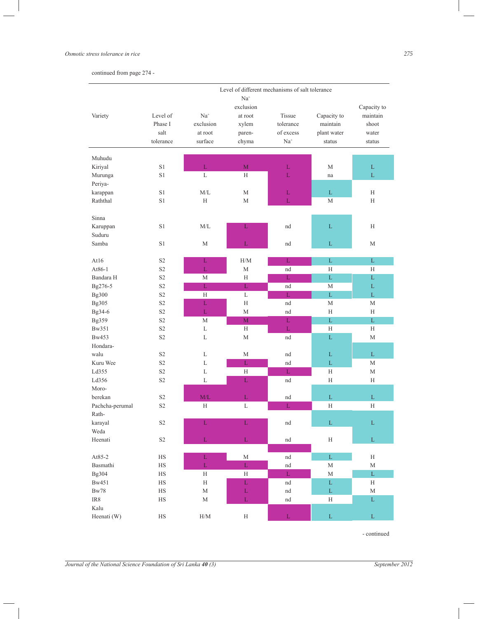#### *Osmotic stress tolerance in rice 275*

continued from page 274 -

|                 | Level of different mechanisms of salt tolerance |                         |                    |                     |               |              |  |
|-----------------|-------------------------------------------------|-------------------------|--------------------|---------------------|---------------|--------------|--|
|                 |                                                 |                         | $Na+$<br>exclusion |                     |               | Capacity to  |  |
| Variety         | Level of                                        | $Na+$                   | at root            | <b>Tissue</b>       | Capacity to   | maintain     |  |
|                 | Phase I                                         | exclusion               | xylem              | tolerance           | maintain      | shoot        |  |
|                 | salt                                            | at root                 | paren-             | of excess           | plant water   | water        |  |
|                 | tolerance                                       | surface                 | chyma              | $Na+$               | status        | status       |  |
|                 |                                                 |                         |                    |                     |               |              |  |
| Muhudu          |                                                 |                         |                    |                     |               |              |  |
| Kiriyal         | S1                                              | $\mathbf L$             | $\mathbf M$        | $\mathbf{L}$        | M             | $\mathbf L$  |  |
| Murunga         | S1                                              | L                       | H                  | $\mathbf L$         | na            | $\mathbf L$  |  |
| Periya-         |                                                 |                         |                    |                     |               |              |  |
| karappan        | S1                                              | M/L                     | М                  | L                   | L             | Н            |  |
| Raththal        | S1                                              | H                       | М                  | L                   | M             | H            |  |
| Sinna           |                                                 |                         |                    |                     |               |              |  |
| Karuppan        | S1                                              | M/L                     | L                  | nd                  | $\mathbf L$   | H            |  |
| Suduru          |                                                 |                         |                    |                     |               |              |  |
| Samba           | S1                                              | M                       | $\mathbf L$        | nd                  | L             | M            |  |
|                 |                                                 |                         |                    |                     |               |              |  |
| At16            | S <sub>2</sub>                                  | L                       | H/M                | L                   | L             | $\mathbf{L}$ |  |
| At86-1          | S <sub>2</sub>                                  | $\mathbf L$             | М                  | nd                  | H             | Н            |  |
| Bandara H       | S <sub>2</sub>                                  | M                       | Н                  | L                   | L             | L            |  |
| Bg276-5         | S <sub>2</sub>                                  | $\mathbf L$             | $\mathbf L$        | nd                  | M             | L            |  |
| Bg300           | S <sub>2</sub>                                  | H                       | L                  | $\mathbf{L}$        | $\Gamma$      | L            |  |
| Bg305           | S <sub>2</sub>                                  | L                       | Н                  | nd                  | M             | M            |  |
| Bg34-6          | S <sub>2</sub>                                  | $\mathbf{L}$            | M                  | nd                  | H             | Н            |  |
| Bg359           | S <sub>2</sub>                                  | M                       | M                  | L                   | $\mathbf L$   | $\mathbf L$  |  |
| Bw351           | S <sub>2</sub>                                  | L                       | H                  | $\mathbf L$         | H             | Н            |  |
| Bw453           | S <sub>2</sub>                                  | L                       | М                  | nd                  | $\Gamma$      | M            |  |
| Hondara-        |                                                 |                         |                    |                     |               |              |  |
| walu            | S <sub>2</sub>                                  | L                       | $\mathbf M$        | nd                  | L             | $\mathbf{L}$ |  |
| Kuru Wee        | S <sub>2</sub>                                  | L                       | $\mathbf{L}$       | nd                  | $\mathbf L$   | M            |  |
| Ld355           | S <sub>2</sub>                                  | L                       | H                  | $\mathbf L$         | H             | M            |  |
| Ld356           | S <sub>2</sub>                                  | L                       | $\mathbf L$        | nd                  | Н             | Н            |  |
| Moro-           |                                                 |                         |                    |                     |               |              |  |
| berekan         | S <sub>2</sub>                                  | M/L                     | $\mathbf L$        | nd                  | $\mathbf L$   | L            |  |
| Pachcha-perumal | S <sub>2</sub>                                  | H                       | L                  | L                   | Н             | Н            |  |
| Rath-           |                                                 |                         |                    |                     |               |              |  |
| karayal         | S <sub>2</sub>                                  | L                       | L                  | nd                  | $\Gamma$      | $\mathbf{L}$ |  |
| Weda            |                                                 |                         |                    |                     |               |              |  |
| Heenati         | $\rm S2$                                        | $\mathbf L$             | $\mathbf L$        | nd                  | $\mathbf H$   | $\mathbf L$  |  |
| At85-2          | $_{\rm HS}$                                     | $\mathbf L$             | $\mathbf M$        | nd                  | $\bar{\rm L}$ | $\rm H$      |  |
| Basmathi        | $_{\rm HS}$                                     | $\bar{\rm L}$           | $\bar{\rm L}$      | $\operatorname{nd}$ | $\mathbf M$   | $\mathbf M$  |  |
| Bg304           | $_{\rm HS}$                                     | $\rm H$                 | $\rm H$            | $\mathbf{L}$        | $\mathbf M$   | $\mathbf L$  |  |
| Bw451           | $_{\rm HS}$                                     | $\rm H$                 | $\mathbf L$        | nd                  | $\mathbf L$   | $\rm H$      |  |
| $\rm Bw78$      | $_{\rm HS}$                                     | $\mathbf M$             | $\mathbf L$        | nd                  | $\mathbf L$   | $\mathbf M$  |  |
| $\text{IR8}{}$  | $_{\rm HS}$                                     | $\mathbf M$             | $\mathbf L$        | $^{\rm nd}$         | $\rm H$       | $\mathbf L$  |  |
| Kalu            |                                                 |                         |                    |                     |               |              |  |
| Heenati (W)     | $_{\rm HS}$                                     | $\mathrm{H}/\mathrm{M}$ | $\rm H$            | $\mathbf L$         | $\mathbf L$   | $\mathbf L$  |  |
|                 |                                                 |                         |                    |                     |               |              |  |

- continued

 $\overline{\phantom{a}}$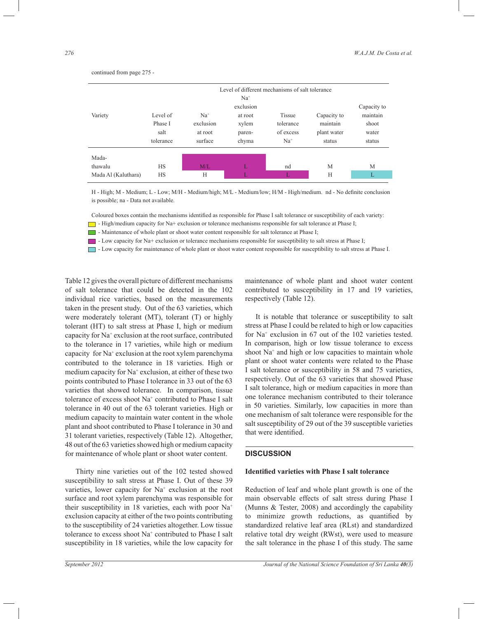Level of different mechanisms of salt tolerance  $Na<sup>+</sup>$ exclusion Capacity to Capacity to the set of the set of the set of the set of the set of the set of the set of the set of the set of the set of the set of the set of the set of the set of the set of the set of the set of t Variety Level of Na<sup>+</sup> at root Tissue Capacity to maintain Phase I exclusion xylem tolerance maintain shoot salt at root paren- of excess plant water water tolerance surface chyma Na<sup>+</sup> status status Madathawalu HS HS M/L L nd M M Mada Al (Kaluthara) HS H L L H H

continued from page 275 -

H - High; M - Medium; L - Low; M/H - Medium/high; M/L - Medium/low; H/M - High/medium. nd - No definite conclusion is possible; na - Data not available.

Coloured boxes contain the mechanisms identified as responsible for Phase I salt tolerance or susceptibility of each variety:

 $\Box$  - High/medium capacity for Na+ exclusion or tolerance mechanisms responsible for salt tolerance at Phase I;

- Maintenance of whole plant or shoot water content responsible for salt tolerance at Phase I;

- Low capacity for Na+ exclusion or tolerance mechanisms responsible for susceptibility to salt stress at Phase I;

- Low capacity for maintenance of whole plant or shoot water content responsible for susceptibility to salt stress at Phase I.

Table 12 gives the overall picture of different mechanisms of salt tolerance that could be detected in the 102 individual rice varieties, based on the measurements taken in the present study. Out of the 63 varieties, which were moderately tolerant (MT), tolerant (T) or highly tolerant (HT) to salt stress at Phase I, high or medium capacity for Na<sup>+</sup> exclusion at the root surface, contributed to the tolerance in 17 varieties, while high or medium capacity for Na<sup>+</sup> exclusion at the root xylem parenchyma contributed to the tolerance in 18 varieties. High or medium capacity for Na<sup>+</sup> exclusion, at either of these two points contributed to Phase I tolerance in 33 out of the 63 varieties that showed tolerance. In comparison, tissue tolerance of excess shoot Na<sup>+</sup> contributed to Phase I salt tolerance in 40 out of the 63 tolerant varieties. High or medium capacity to maintain water content in the whole plant and shoot contributed to Phase I tolerance in 30 and 31 tolerant varieties, respectively (Table 12). Altogether, 48 out of the 63 varieties showed high or medium capacity for maintenance of whole plant or shoot water content.

 Thirty nine varieties out of the 102 tested showed susceptibility to salt stress at Phase I. Out of these 39 varieties, lower capacity for Na<sup>+</sup> exclusion at the root surface and root xylem parenchyma was responsible for their susceptibility in 18 varieties, each with poor Na<sup>+</sup> exclusion capacity at either of the two points contributing to the susceptibility of 24 varieties altogether. Low tissue tolerance to excess shoot Na<sup>+</sup> contributed to Phase I salt susceptibility in 18 varieties, while the low capacity for

maintenance of whole plant and shoot water content contributed to susceptibility in 17 and 19 varieties, respectively (Table 12).

 It is notable that tolerance or susceptibility to salt stress at Phase I could be related to high or low capacities for Na<sup>+</sup> exclusion in 67 out of the 102 varieties tested. In comparison, high or low tissue tolerance to excess shoot Na<sup>+</sup> and high or low capacities to maintain whole plant or shoot water contents were related to the Phase I salt tolerance or susceptibility in 58 and 75 varieties, respectively. Out of the 63 varieties that showed Phase I salt tolerance, high or medium capacities in more than one tolerance mechanism contributed to their tolerance in 50 varieties. Similarly, low capacities in more than one mechanism of salt tolerance were responsible for the salt susceptibility of 29 out of the 39 susceptible varieties that were identified.

#### **DISCUSSION**

### **Identified varieties with Phase I salt tolerance**

Reduction of leaf and whole plant growth is one of the main observable effects of salt stress during Phase I (Munns & Tester, 2008) and accordingly the capability to minimize growth reductions, as quantified by standardized relative leaf area (RLst) and standardized relative total dry weight (RWst), were used to measure the salt tolerance in the phase I of this study. The same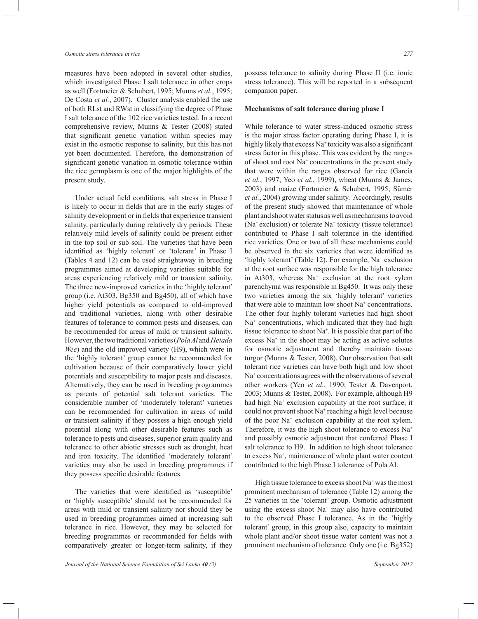measures have been adopted in several other studies, which investigated Phase I salt tolerance in other crops as well (Fortmeier & Schubert, 1995; Munns *et al.*, 1995; De Costa *et al.*, 2007). Cluster analysis enabled the use of both RLst and RWst in classifying the degree of Phase I salt tolerance of the 102 rice varieties tested. In a recent comprehensive review, Munns & Tester (2008) stated that significant genetic variation within species may exist in the osmotic response to salinity, but this has not yet been documented. Therefore, the demonstration of significant genetic variation in osmotic tolerance within the rice germplasm is one of the major highlights of the present study.

 Under actual field conditions, salt stress in Phase I is likely to occur in fields that are in the early stages of salinity development or in fields that experience transient salinity, particularly during relatively dry periods. These relatively mild levels of salinity could be present either in the top soil or sub soil. The varieties that have been identified as 'highly tolerant' or 'tolerant' in Phase I (Tables 4 and 12) can be used straightaway in breeding programmes aimed at developing varieties suitable for areas experiencing relatively mild or transient salinity. The three new-improved varieties in the 'highly tolerant' group (i.e. At303, Bg350 and Bg450), all of which have higher yield potentials as compared to old-improved and traditional varieties, along with other desirable features of tolerance to common pests and diseases, can be recommended for areas of mild or transient salinity. However, the two traditional varieties (*Pola Al* and *Hetada Wee*) and the old improved variety (H9), which were in the 'highly tolerant' group cannot be recommended for cultivation because of their comparatively lower yield potentials and susceptibility to major pests and diseases. Alternatively, they can be used in breeding programmes as parents of potential salt tolerant varieties. The considerable number of 'moderately tolerant' varieties can be recommended for cultivation in areas of mild or transient salinity if they possess a high enough yield potential along with other desirable features such as tolerance to pests and diseases, superior grain quality and tolerance to other abiotic stresses such as drought, heat and iron toxicity. The identified 'moderately tolerant' varieties may also be used in breeding programmes if they possess specific desirable features.

 The varieties that were identified as 'susceptible' or 'highly susceptible' should not be recommended for areas with mild or transient salinity nor should they be used in breeding programmes aimed at increasing salt tolerance in rice. However, they may be selected for breeding programmes or recommended for fields with comparatively greater or longer-term salinity, if they

possess tolerance to salinity during Phase II (i.e. ionic stress tolerance). This will be reported in a subsequent companion paper.

#### **Mechanisms of salt tolerance during phase I**

While tolerance to water stress-induced osmotic stress is the major stress factor operating during Phase I, it is highly likely that excess Na<sup>+</sup> toxicity was also a significant stress factor in this phase. This was evident by the ranges of shoot and root Na<sup>+</sup> concentrations in the present study that were within the ranges observed for rice (Garcia *et al.*, 1997; Yeo *et al.*, 1999), wheat (Munns & James, 2003) and maize (Fortmeier & Schubert, 1995; Sümer *et al.*, 2004) growing under salinity. Accordingly, results of the present study showed that maintenance of whole plant and shoot water status as well as mechanisms to avoid (Na<sup>+</sup>exclusion) or tolerate Na<sup>+</sup> toxicity (tissue tolerance) contributed to Phase I salt tolerance in the identified rice varieties. One or two of all these mechanisms could be observed in the six varieties that were identified as 'highly tolerant' (Table 12). For example, Na<sup>+</sup> exclusion at the root surface was responsible for the high tolerance in At303, whereas Na<sup>+</sup> exclusion at the root xylem parenchyma was responsible in Bg450. It was only these two varieties among the six 'highly tolerant' varieties that were able to maintain low shoot Na<sup>+</sup> concentrations. The other four highly tolerant varieties had high shoot Na<sup>+</sup> concentrations, which indicated that they had high tissue tolerance to shoot Na<sup>+</sup> . It is possible that part of the excess Na<sup>+</sup> in the shoot may be acting as active solutes for osmotic adjustment and thereby maintain tissue turgor (Munns & Tester, 2008). Our observation that salt tolerant rice varieties can have both high and low shoot Na<sup>+</sup> concentrations agrees with the observations of several other workers (Yeo *et al.*, 1990; Tester & Davenport, 2003; Munns & Tester, 2008). For example, although H9 had high Na<sup>+</sup> exclusion capability at the root surface, it could not prevent shoot Na<sup>+</sup> reaching a high level because of the poor Na<sup>+</sup> exclusion capability at the root xylem. Therefore, it was the high shoot tolerance to excess  $Na<sup>+</sup>$ and possibly osmotic adjustment that conferred Phase I salt tolerance to H9. In addition to high shoot tolerance to excess Na<sup>+</sup> , maintenance of whole plant water content contributed to the high Phase I tolerance of Pola Al.

High tissue tolerance to excess shoot Na<sup>+</sup> was the most prominent mechanism of tolerance (Table 12) among the 25 varieties in the 'tolerant' group. Osmotic adjustment using the excess shoot Na<sup>+</sup> may also have contributed to the observed Phase I tolerance. As in the 'highly tolerant' group, in this group also, capacity to maintain whole plant and/or shoot tissue water content was not a prominent mechanism of tolerance. Only one (i.e. Bg352)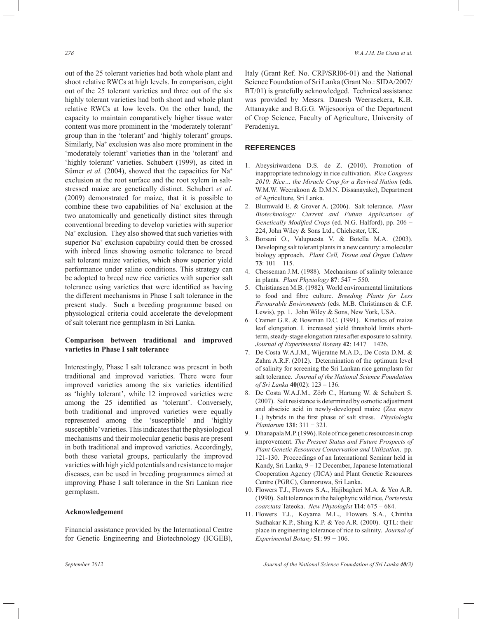out of the 25 tolerant varieties had both whole plant and shoot relative RWCs at high levels. In comparison, eight out of the 25 tolerant varieties and three out of the six highly tolerant varieties had both shoot and whole plant relative RWCs at low levels. On the other hand, the capacity to maintain comparatively higher tissue water content was more prominent in the 'moderately tolerant' group than in the 'tolerant' and 'highly tolerant' groups. Similarly, Na<sup>+</sup> exclusion was also more prominent in the 'moderately tolerant' varieties than in the 'tolerant' and 'highly tolerant' varieties. Schubert (1999), as cited in Sümer *et al.* (2004), showed that the capacities for Na<sup>+</sup> exclusion at the root surface and the root xylem in saltstressed maize are genetically distinct. Schubert *et al.* (2009) demonstrated for maize, that it is possible to combine these two capabilities of  $Na<sup>+</sup>$  exclusion at the two anatomically and genetically distinct sites through conventional breeding to develop varieties with superior Na<sup>+</sup> exclusion. They also showed that such varieties with superior Na<sup>+</sup> exclusion capability could then be crossed with inbred lines showing osmotic tolerance to breed salt tolerant maize varieties, which show superior yield performance under saline conditions. This strategy can be adopted to breed new rice varieties with superior salt tolerance using varieties that were identified as having the different mechanisms in Phase I salt tolerance in the present study. Such a breeding programme based on physiological criteria could accelerate the development of salt tolerant rice germplasm in Sri Lanka.

## **Comparison between traditional and improved varieties in Phase I salt tolerance**

Interestingly, Phase I salt tolerance was present in both traditional and improved varieties. There were four improved varieties among the six varieties identified as 'highly tolerant', while 12 improved varieties were among the 25 identified as 'tolerant'. Conversely, both traditional and improved varieties were equally represented among the 'susceptible' and 'highly susceptible' varieties. This indicates that the physiological mechanisms and their molecular genetic basis are present in both traditional and improved varieties. Accordingly, both these varietal groups, particularly the improved varieties with high yield potentials and resistance to major diseases, can be used in breeding programmes aimed at improving Phase I salt tolerance in the Sri Lankan rice germplasm.

#### **Acknowledgement**

Financial assistance provided by the International Centre for Genetic Engineering and Biotechnology (ICGEB), Italy (Grant Ref. No. CRP/SRI06-01) and the National Science Foundation of Sri Lanka (Grant No.: SIDA/2007/ BT/01) is gratefully acknowledged. Technical assistance was provided by Messrs. Danesh Weerasekera, K.B. Attanayake and B.G.G. Wijesooriya of the Department of Crop Science, Faculty of Agriculture, University of Peradeniya.

#### **REFERENCES**

- 1. Abeysiriwardena D.S. de Z. (2010). Promotion of inappropriate technology in rice cultivation. *Rice Congress*  2010: Rice... the Miracle Crop for a Revived Nation (eds. W.M.W. Weerakoon & D.M.N. Dissanayake), Department of Agriculture, Sri Lanka.
- 2. Blumwald E. & Grover A. (2006). Salt tolerance. *Plant Biotechnology: Current and Future Applications of Genetically Modified Crops* (ed. N.G. Halford), pp. 206 − 224, John Wiley & Sons Ltd., Chichester, UK.
- 3. Borsani O., Valupuesta V. & Botella M.A. (2003). Developing salt tolerant plants in a new century: a molecular biology approach. *Plant Cell, Tissue and Organ Culture*  **73**: 101 − 115.
- 4. Chesseman J.M. (1988). Mechanisms of salinity tolerance in plants. *Plant Physiology* **87**: 547 − 550.
- 5. Christiansen M.B. (1982). World environmental limitations to food and fibre culture. *Breeding Plants for Less Favourable Environments* (eds. M.B. Christiansen & C.F. Lewis), pp. 1. John Wiley & Sons, New York, USA.
- 6. Cramer G.R. & Bowman D.C. (1991). Kinetics of maize leaf elongation. I. increased yield threshold limits shortterm, steady-stage elongation rates after exposure to salinity. *Journal of Experimental Botany* **42**: 1417 − 1426.
- 7. De Costa W.A.J.M., Wijeratne M.A.D., De Costa D.M. & Zahra A.R.F. (2012). Determination of the optimum level of salinity for screening the Sri Lankan rice germplasm for salt tolerance. *Journal of the National Science Foundation of Sri Lanka* **40**(02): 123 – 136.
- 8. De Costa W.A.J.M., Zörb C., Hartung W. & Schubert S. (2007). Salt resistance is determined by osmotic adjustment and abscisic acid in newly-developed maize (*Zea mays*  L.) hybrids in the first phase of salt stress. *Physiologia Plantarum* **131**: 311 − 321.
- 9. Dhanapala M.P. (1996). Role of rice genetic resources in crop improvement. *The Present Status and Future Prospects of Plant Genetic Resources Conservation and Utilization,* pp. 121-130. Proceedings of an International Seminar held in Kandy, Sri Lanka, 9 – 12 December, Japanese International Cooperation Agency (JICA) and Plant Genetic Resources Centre (PGRC), Gannoruwa, Sri Lanka.
- 10. Flowers T.J., Flowers S.A., Hajibagheri M.A. & Yeo A.R. (1990). Salt tolerance in the halophytic wild rice, *Porteresia coarctata* Tateoka. *New Phytologist* **114**: 675 − 684.
- 11. Flowers T.J., Koyama M.L., Flowers S.A., Chintha Sudhakar K.P., Shing K.P. & Yeo A.R. (2000). QTL: their place in engineering tolerance of rice to salinity. *Journal of Experimental Botany* **51**: 99 − 106.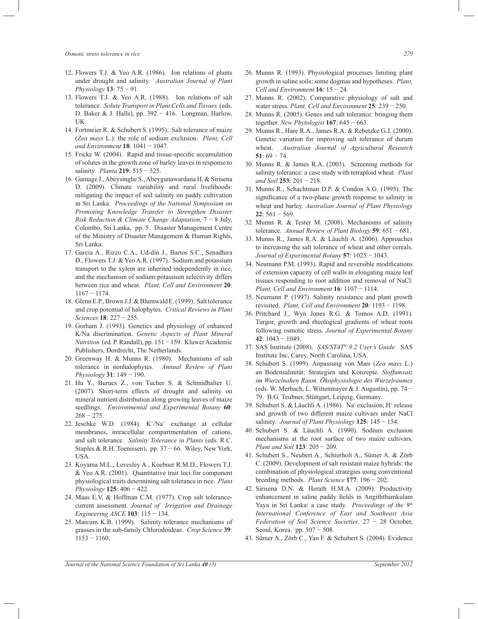- 12. Flowers T.J. & Yeo A.R. (1986). Ion relations of plants under drought and salinity. *Australian Journal of Plant Physiology* **13**: 75 − 91.
- 13. Flowers T.J. & Yeo A.R. (1988). Ion relations of salt tolerance. *Solute Transport in Plant Cells and Tissues* (eds. D. Baker & J. Halls), pp. 392 – 416. Longman, Harlow, UK.
- 14. Fortmeier R. & Schubert S. (1995). Salt tolerance of maize (*Zea mays* L.): the role of sodium exclusion. *Plant, Cell and Environment* **18**: 1041 − 1047.
- 15. Fricke W. (2004). Rapid and tissue-specific accumulation of solutes in the growth zone of barley leaves in response to salinity. *Planta* **219**: 515 − 525.
- 16. Gamage J., Abeysinghe S., Abeygunawardana H. & Sirisena D. (2009). Climate variability and rural livelihoods: mitigating the impact of soil salinity on paddy cultivation in Sri Lanka. *Proceedings of the National Symposium on Promoting Knowledge Transfer to Strengthen Disaster Risk Reduction & Climate Change Adaptation,* 7 − 8 July, Colombo, Sri Lanka, pp. 5. Disaster Management Centre of the Ministry of Disaster Management & Human Rights, Sri Lanka.
- 17. Garcia A., Rizzo C.A., Ud-din J., Bartos S.C., Senadhira D., Flowers T.J. & Yeo A.R. (1997). Sodium and potassium transport to the xylem are inherited independently in rice, and the mechanism of sodium:potassium selectivity differs between rice and wheat. *Plant, Cell and Environment* **20**: 1167 − 1174.
- 18. Glenn E.P., Brown J.J. & Blumwald E. (1999). Salt tolerance and crop potential of halophytes. *Critical Reviews in Plant Sciences* **18**: 227 − 255.
- 19. Gorham J. (1993). Genetics and physiology of enhanced K/Na discrimination. *Genetic Aspects of Plant Mineral Nutrition* (ed. P. Randall), pp. 151 − 159. Kluwer Academic Publishers, Dordrecht, The Netherlands.
- 20. Greenway H. & Munns R. (1980). Mechanisms of salt tolerance in nonhalophytes. *Annual Review of Plant Physiology* **31**: 149 − 190.
- 21. Hu Y., Burucs Z., von Tucher S. & Schmidhalter U. (2007). Short-term effects of drought and salinity on mineral nutrient distribution along growing leaves of maize seedlings. *Environmental and Experimental Botany* **60**:  $268 - 275$ .
- 22. Jeschke W.D.  $(1984)$ . K<sup>+</sup>/Na<sup>+</sup> exchange at cellular membranes, intracellular compartmentation of cations, and salt tolerance. *Salinity Tolerance in Plants* (eds. R.C. Staples & R.H. Toenissen), pp. 37 − 66. Wiley, New York, USA.
- 23. Koyama M.L., Levesley A., Koebner R.M.D., Flowers T.J. & Yeo A.R. (2001). Quantitative trait loci for component physiological traits determining salt tolerance in rice. *Plant Physiology* **125**: 406 − 422.
- 24. Maas E.V. & Hoffman C.M. (1977). Crop salt tolerancecurrent assessment. *Journal of Irrigation and Drainage Engineering ASCE* **103**: 115 − 134.
- 25. Marcum K.B. (1999). Salinity tolerance mechanisms of grasses in the sub-family Chlorodoideae. *Crop Science* **39**: 1153 − 1160.
- 26. Munns R. (1993). Physiological processes limiting plant growth in saline soils: some dogmas and hypotheses. *Plant, Cell and Environment* **16**: 15 − 24.
- 27. Munns R. (2002). Comparative physiology of salt and water stress. *Plant, Cell and Environment* **25**: 239 − 250.
- 28. Munns R. (2005). Genes and salt tolerance: bringing them together. *New Phytologist* **167**: 645 − 663.
- 29. Munns R., Hare R.A., James R.A. & Rebetzke G.J. (2000). Genetic variation for improving salt tolerance of durum wheat. *Australian Journal of Agricultural Research*  **51**: 69 − 74.
- 30. Munns R. & James R.A. (2003). Screening methods for salinity tolerance: a case study with tetraploid wheat. *Plant and Soil* **253**: 201 − 218.
- 31. Munns R., Schachtman D.P. & Condon A.G. (1995). The significance of a two-phase growth response to salinity in wheat and barley. *Australian Journal of Plant Physiology*  **22**: 561 − 569.
- 32. Munns R. & Tester M. (2008). Mechanisms of salinity tolerance. *Annual Review of Plant Biology* **59**: 651 − 681.
- 33. Munns R., James R.A. & Läuchli A. (2006). Approaches to increasing the salt tolerance of wheat and other cereals. *Journal of Experimental Botany* **57**: 1025 − 1043.
- 34. Neumann P.M. (1993). Rapid and reversible modifications of extension capacity of cell walls in elongating maize leaf tissues responding to root addition and removal of NaCl. *Plant, Cell and Environment* **16**: 1107 − 1114.
- 35. Neumann P. (1997). Salinity resistance and plant growth revisited. *Plant, Cell and Environment* **20**: 1193 − 1198.
- 36. Pritchard J., Wyn Jones R.G. & Tomos A.D. (1991). Turgor, growth and rheological gradients of wheat roots following osmotic stress. *Journal of Experimental Botany*  **42**: 1043 − 1049.
- 37. SAS Institute (2008). *SAS/STAT® 9.2 User's Guide.* SAS Institute Inc, Carey, North Carolina, USA.
- 38. Schubert S. (1999). Anpassung von Mais (*Zea mays* L.) an Bodensalinität: Strategien und Konzepte. *Stoffumsatz im Wurzelnahen Raum. Ökophysiologie des Wurzelraumes*  (eds. W. Merbach, L. Wittenmayer & J. Augustin), pp. 74 − 79. B.G. Teubner, Stüttgart, Leipzig, Germany.
- 39. Schubert S. & Läuchli A. (1986). Na<sup>+</sup>exclusion, H<sup>+</sup> release and growth of two different maize cultivars under NaCl salinity. *Journal of Plant Physiology* **125**: 145 − 154.
- 40. Schubert S. & Läuchli A. (1990). Sodium exclusion mechanisms at the root surface of two maize cultivars. *Plant and Soil* **123**: 205 − 209.
- 41. Schubert S., Neubert A., Schierholt A., Sümer A. & Zörb C. (2009). Development of salt resistant maize hybrids: the combination of physiological strategies using conventional breeding methods. *Plant Science* **177**: 196 − 202.
- 42. Sirisena D.N. & Herath H.M.A. (2009). Productivity enhancement in saline paddy fields in Angiththamkulam Yaya in Sri Lanka: a case study. *Proceedings of the 9th International Conference of East and Southeast Asia Federation of Soil Science Societies*. 27 − 28 October, Seoul, Korea. pp. 507 − 508.
- 43. Sümer A., Zörb C., Yan F. & Schubert S. (2004). Evidence